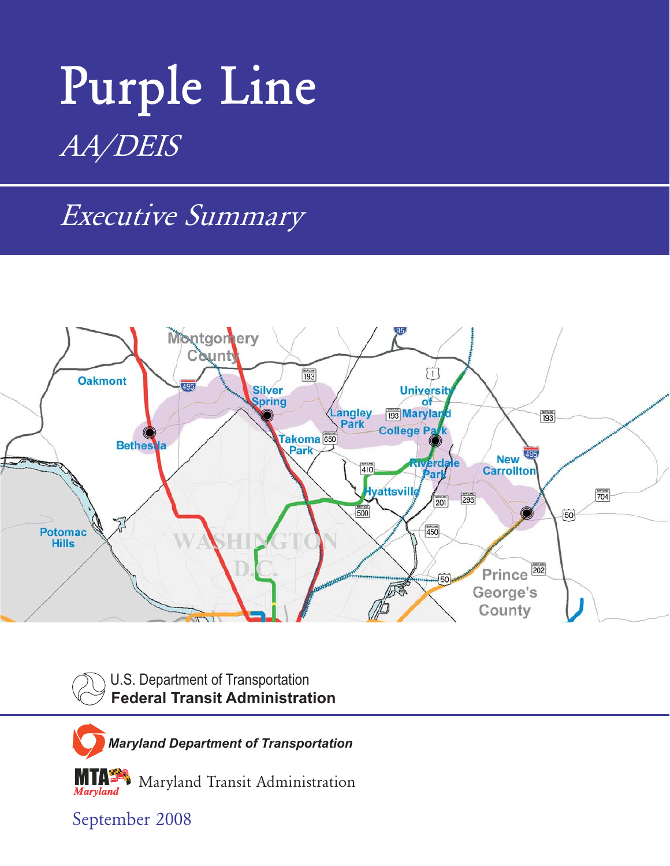# **Purple Line** *AA/DEIS*

*Executive Summary*



U.S. Department of Transportation **Federal Transit Administration**

*Maryland Department of Transportation*

Maryland Transit Administration

September 2008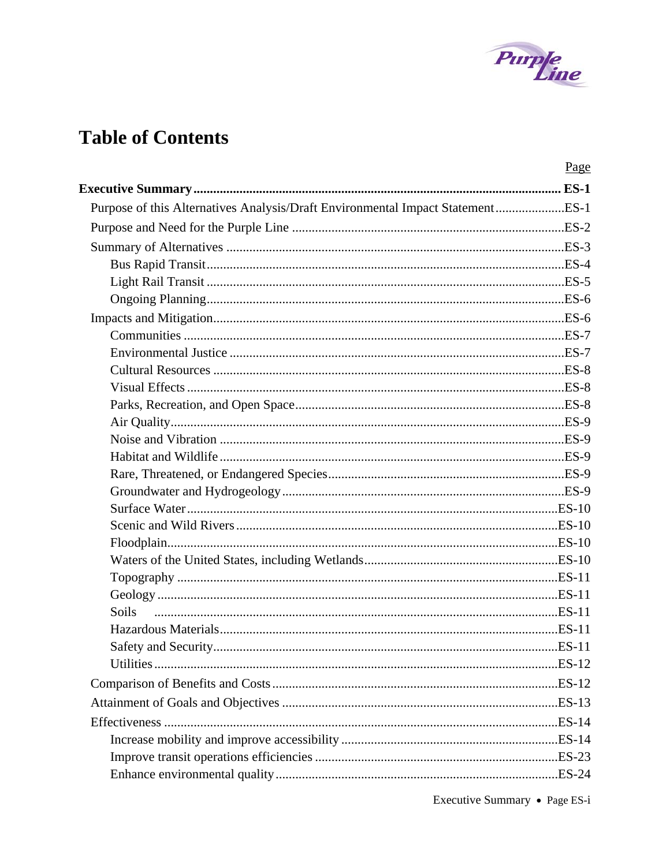

# **Table of Contents**

|                                                                                | Page |
|--------------------------------------------------------------------------------|------|
|                                                                                |      |
| Purpose of this Alternatives Analysis/Draft Environmental Impact StatementES-1 |      |
|                                                                                |      |
|                                                                                |      |
|                                                                                |      |
|                                                                                |      |
|                                                                                |      |
|                                                                                |      |
|                                                                                |      |
|                                                                                |      |
|                                                                                |      |
|                                                                                |      |
|                                                                                |      |
|                                                                                |      |
|                                                                                |      |
|                                                                                |      |
|                                                                                |      |
|                                                                                |      |
|                                                                                |      |
|                                                                                |      |
|                                                                                |      |
|                                                                                |      |
|                                                                                |      |
|                                                                                |      |
| Soils                                                                          |      |
|                                                                                |      |
|                                                                                |      |
|                                                                                |      |
|                                                                                |      |
|                                                                                |      |
|                                                                                |      |
|                                                                                |      |
|                                                                                |      |
|                                                                                |      |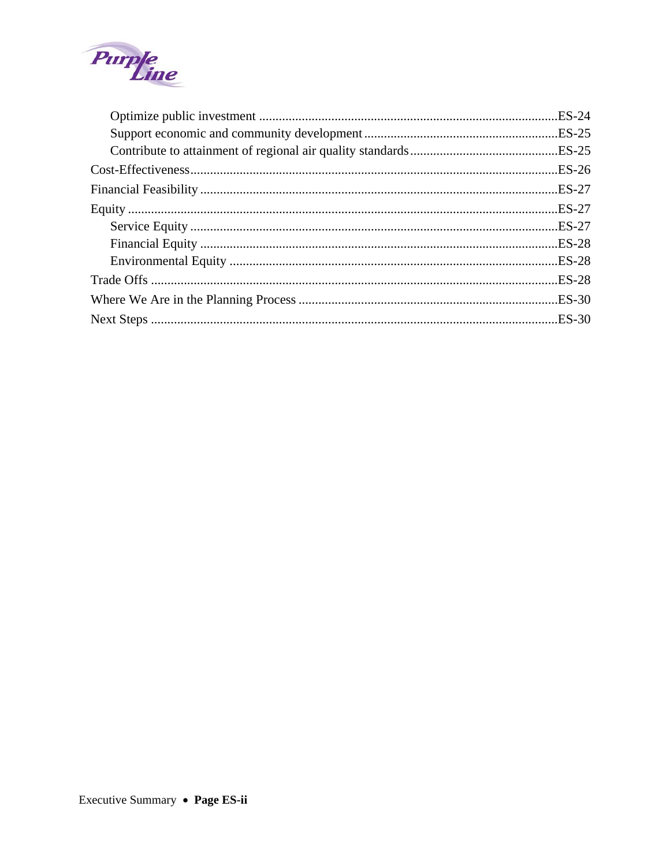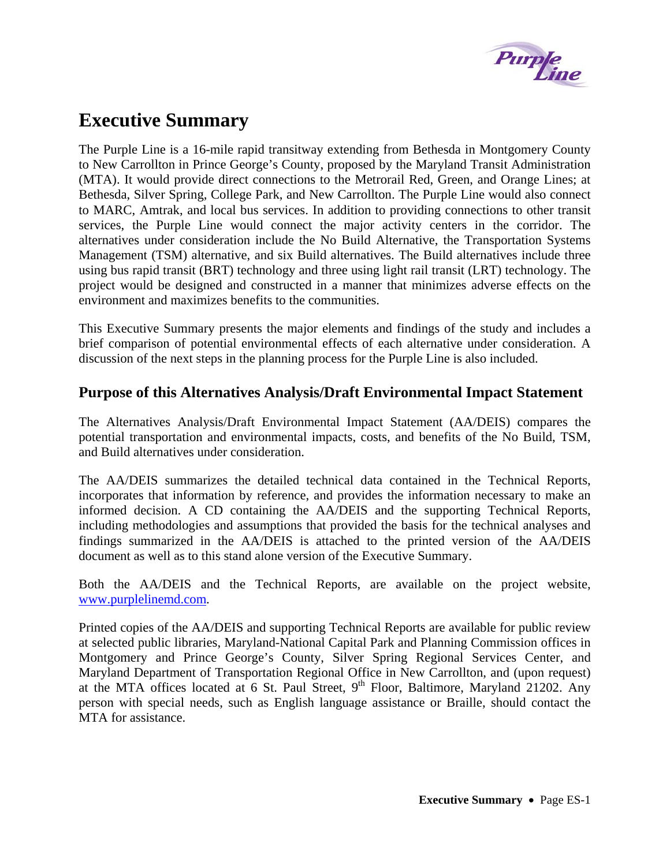

# <span id="page-4-0"></span>**Executive Summary**

The Purple Line is a 16-mile rapid transitway extending from Bethesda in Montgomery County to New Carrollton in Prince George's County, proposed by the Maryland Transit Administration (MTA). It would provide direct connections to the Metrorail Red, Green, and Orange Lines; at Bethesda, Silver Spring, College Park, and New Carrollton. The Purple Line would also connect to MARC, Amtrak, and local bus services. In addition to providing connections to other transit services, the Purple Line would connect the major activity centers in the corridor. The alternatives under consideration include the No Build Alternative, the Transportation Systems Management (TSM) alternative, and six Build alternatives. The Build alternatives include three using bus rapid transit (BRT) technology and three using light rail transit (LRT) technology. The project would be designed and constructed in a manner that minimizes adverse effects on the environment and maximizes benefits to the communities.

This Executive Summary presents the major elements and findings of the study and includes a brief comparison of potential environmental effects of each alternative under consideration. A discussion of the next steps in the planning process for the Purple Line is also included.

# **Purpose of this Alternatives Analysis/Draft Environmental Impact Statement**

The Alternatives Analysis/Draft Environmental Impact Statement (AA/DEIS) compares the potential transportation and environmental impacts, costs, and benefits of the No Build, TSM, and Build alternatives under consideration.

The AA/DEIS summarizes the detailed technical data contained in the Technical Reports, incorporates that information by reference, and provides the information necessary to make an informed decision. A CD containing the AA/DEIS and the supporting Technical Reports, including methodologies and assumptions that provided the basis for the technical analyses and findings summarized in the AA/DEIS is attached to the printed version of the AA/DEIS document as well as to this stand alone version of the Executive Summary.

Both the AA/DEIS and the Technical Reports, are available on the project website, [www.purplelinemd.com.](http://www.purplelinemd.com/)

Printed copies of the AA/DEIS and supporting Technical Reports are available for public review at selected public libraries, Maryland-National Capital Park and Planning Commission offices in Montgomery and Prince George's County, Silver Spring Regional Services Center, and Maryland Department of Transportation Regional Office in New Carrollton, and (upon request) at the MTA offices located at 6 St. Paul Street,  $9<sup>th</sup>$  Floor, Baltimore, Maryland 21202. Any person with special needs, such as English language assistance or Braille, should contact the MTA for assistance.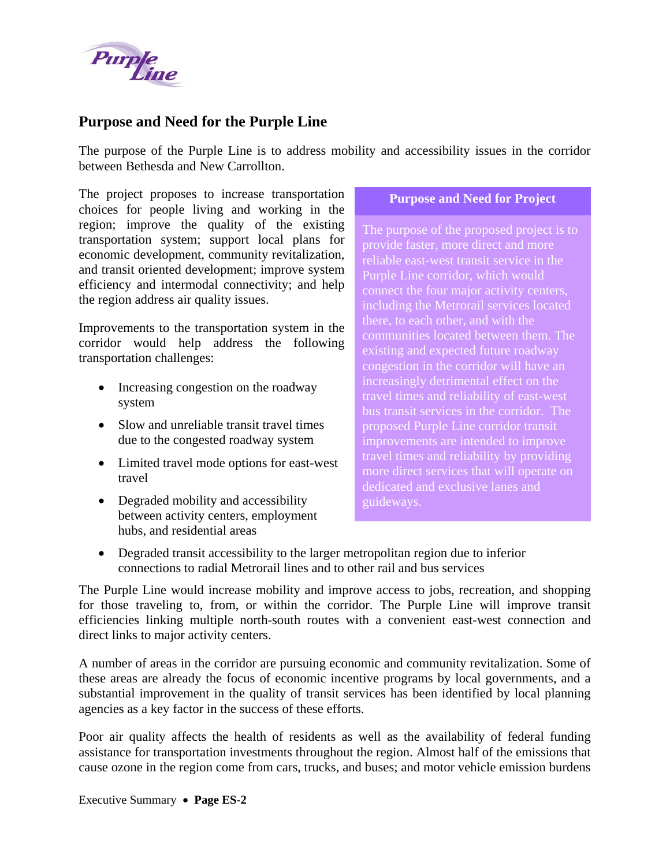<span id="page-5-0"></span>

# **Purpose and Need for the Purple Line**

The purpose of the Purple Line is to address mobility and accessibility issues in the corridor between Bethesda and New Carrollton.

The project proposes to increase transportation choices for people living and working in the region; improve the quality of the existing transportation system; support local plans for economic development, community revitalization, and transit oriented development; improve system efficiency and intermodal connectivity; and help the region address air quality issues.

Improvements to the transportation system in the corridor would help address the following transportation challenges:

- Increasing congestion on the roadway system
- Slow and unreliable transit travel times due to the congested roadway system
- Limited travel mode options for east-west travel
- Degraded mobility and accessibility between activity centers, employment hubs, and residential areas

#### **Purpose and Need for Project**

The purpose of the proposed project is to provide faster, more direct and more Purple Line corridor, which would connect the four major activity centers, including the Metrorail services located there, to each other, and with the communities located between them. The existing and expected future roadway congestion in the corridor will have an increasingly detrimental effect on the travel times and reliability of east-west bus transit services in the corridor. The proposed Purple Line corridor transit improvements are intended to improve travel times and reliability by providing more direct services that will operate on dedicated and exclusive lanes and guideways.

• Degraded transit accessibility to the larger metropolitan region due to inferior connections to radial Metrorail lines and to other rail and bus services

The Purple Line would increase mobility and improve access to jobs, recreation, and shopping for those traveling to, from, or within the corridor. The Purple Line will improve transit efficiencies linking multiple north-south routes with a convenient east-west connection and direct links to major activity centers.

A number of areas in the corridor are pursuing economic and community revitalization. Some of these areas are already the focus of economic incentive programs by local governments, and a substantial improvement in the quality of transit services has been identified by local planning agencies as a key factor in the success of these efforts.

Poor air quality affects the health of residents as well as the availability of federal funding assistance for transportation investments throughout the region. Almost half of the emissions that cause ozone in the region come from cars, trucks, and buses; and motor vehicle emission burdens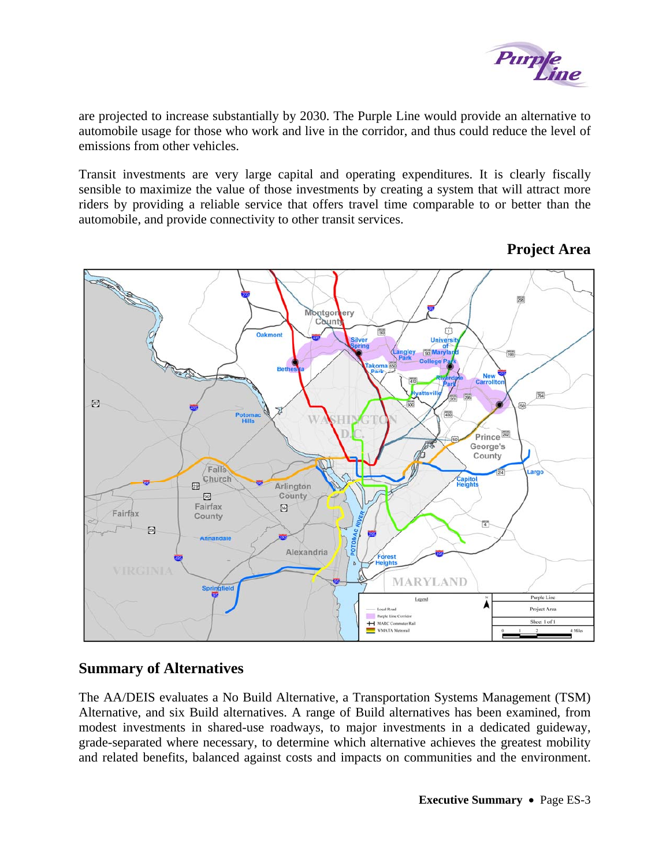

<span id="page-6-0"></span>are projected to increase substantially by 2030. The Purple Line would provide an alternative to automobile usage for those who work and live in the corridor, and thus could reduce the level of emissions from other vehicles.

Transit investments are very large capital and operating expenditures. It is clearly fiscally sensible to maximize the value of those investments by creating a system that will attract more riders by providing a reliable service that offers travel time comparable to or better than the automobile, and provide connectivity to other transit services.



# **Project Area**

# **Summary of Alternatives**

The AA/DEIS evaluates a No Build Alternative, a Transportation Systems Management (TSM) Alternative, and six Build alternatives. A range of Build alternatives has been examined, from modest investments in shared-use roadways, to major investments in a dedicated guideway, grade-separated where necessary, to determine which alternative achieves the greatest mobility and related benefits, balanced against costs and impacts on communities and the environment.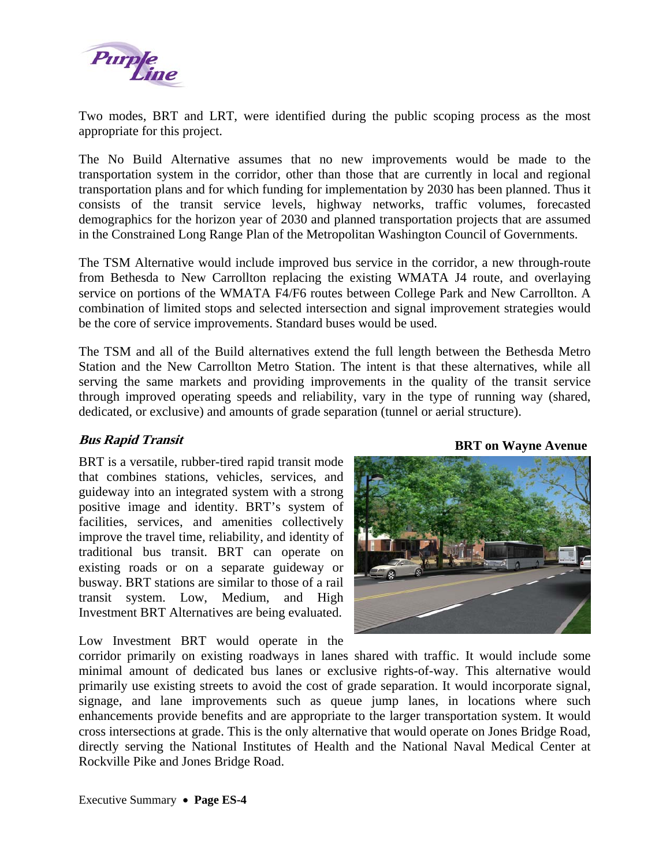<span id="page-7-0"></span>

Two modes, BRT and LRT, were identified during the public scoping process as the most appropriate for this project.

The No Build Alternative assumes that no new improvements would be made to the transportation system in the corridor, other than those that are currently in local and regional transportation plans and for which funding for implementation by 2030 has been planned. Thus it consists of the transit service levels, highway networks, traffic volumes, forecasted demographics for the horizon year of 2030 and planned transportation projects that are assumed in the Constrained Long Range Plan of the Metropolitan Washington Council of Governments.

The TSM Alternative would include improved bus service in the corridor, a new through-route from Bethesda to New Carrollton replacing the existing WMATA J4 route, and overlaying service on portions of the WMATA F4/F6 routes between College Park and New Carrollton. A combination of limited stops and selected intersection and signal improvement strategies would be the core of service improvements. Standard buses would be used.

The TSM and all of the Build alternatives extend the full length between the Bethesda Metro Station and the New Carrollton Metro Station. The intent is that these alternatives, while all serving the same markets and providing improvements in the quality of the transit service through improved operating speeds and reliability, vary in the type of running way (shared, dedicated, or exclusive) and amounts of grade separation (tunnel or aerial structure).

# **Bus Rapid Transit BRT** on Wayne Avenue

BRT is a versatile, rubber-tired rapid transit mode that combines stations, vehicles, services, and guideway into an integrated system with a strong positive image and identity. BRT's system of facilities, services, and amenities collectively improve the travel time, reliability, and identity of traditional bus transit. BRT can operate on existing roads or on a separate guideway or busway. BRT stations are similar to those of a rail transit system. Low, Medium, and High Investment BRT Alternatives are being evaluated.

Low Investment BRT would operate in the



corridor primarily on existing roadways in lanes shared with traffic. It would include some minimal amount of dedicated bus lanes or exclusive rights-of-way. This alternative would primarily use existing streets to avoid the cost of grade separation. It would incorporate signal, signage, and lane improvements such as queue jump lanes, in locations where such enhancements provide benefits and are appropriate to the larger transportation system. It would cross intersections at grade. This is the only alternative that would operate on Jones Bridge Road, directly serving the National Institutes of Health and the National Naval Medical Center at Rockville Pike and Jones Bridge Road.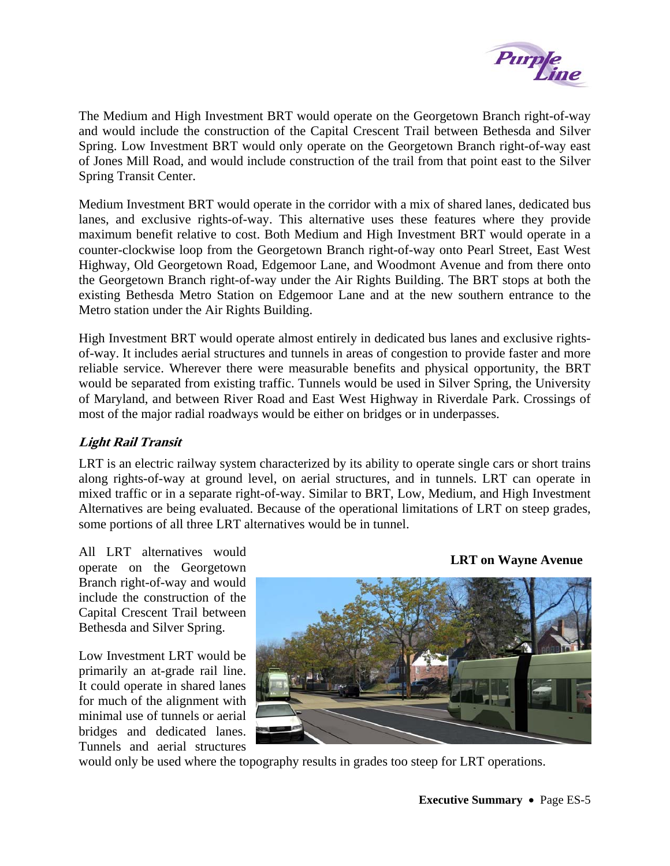

<span id="page-8-0"></span>The Medium and High Investment BRT would operate on the Georgetown Branch right-of-way and would include the construction of the Capital Crescent Trail between Bethesda and Silver Spring. Low Investment BRT would only operate on the Georgetown Branch right-of-way east of Jones Mill Road, and would include construction of the trail from that point east to the Silver Spring Transit Center.

Medium Investment BRT would operate in the corridor with a mix of shared lanes, dedicated bus lanes, and exclusive rights-of-way. This alternative uses these features where they provide maximum benefit relative to cost. Both Medium and High Investment BRT would operate in a counter-clockwise loop from the Georgetown Branch right-of-way onto Pearl Street, East West Highway, Old Georgetown Road, Edgemoor Lane, and Woodmont Avenue and from there onto the Georgetown Branch right-of-way under the Air Rights Building. The BRT stops at both the existing Bethesda Metro Station on Edgemoor Lane and at the new southern entrance to the Metro station under the Air Rights Building.

High Investment BRT would operate almost entirely in dedicated bus lanes and exclusive rightsof-way. It includes aerial structures and tunnels in areas of congestion to provide faster and more reliable service. Wherever there were measurable benefits and physical opportunity, the BRT would be separated from existing traffic. Tunnels would be used in Silver Spring, the University of Maryland, and between River Road and East West Highway in Riverdale Park. Crossings of most of the major radial roadways would be either on bridges or in underpasses.

# **Light Rail Transit**

LRT is an electric railway system characterized by its ability to operate single cars or short trains along rights-of-way at ground level, on aerial structures, and in tunnels. LRT can operate in mixed traffic or in a separate right-of-way. Similar to BRT, Low, Medium, and High Investment Alternatives are being evaluated. Because of the operational limitations of LRT on steep grades, some portions of all three LRT alternatives would be in tunnel.

All LRT alternatives would operate on the Georgetown Branch right-of-way and would include the construction of the Capital Crescent Trail between Bethesda and Silver Spring.

Low Investment LRT would be primarily an at-grade rail line. It could operate in shared lanes for much of the alignment with minimal use of tunnels or aerial bridges and dedicated lanes. Tunnels and aerial structures



**LRT on Wayne Avenue**

would only be used where the topography results in grades too steep for LRT operations.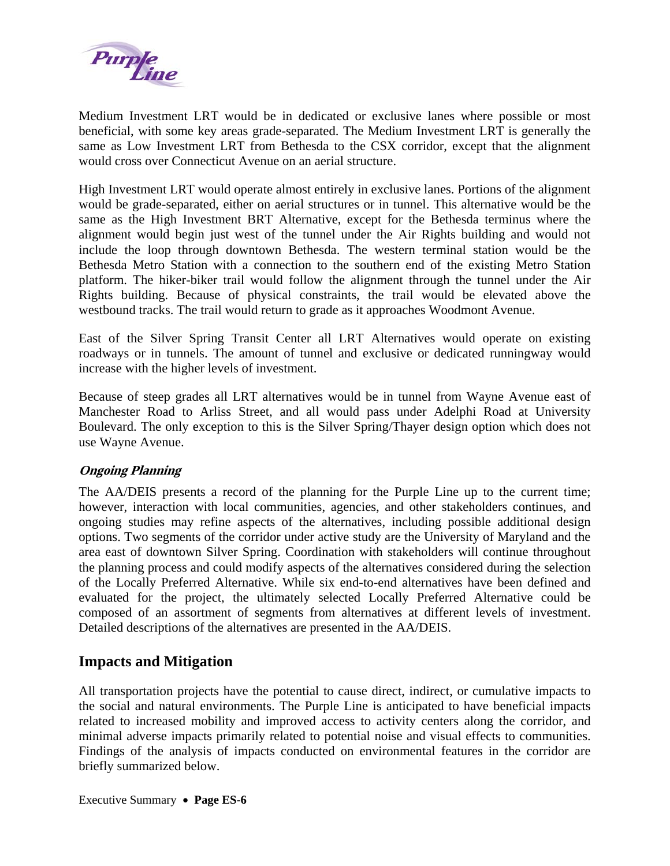<span id="page-9-0"></span>

Medium Investment LRT would be in dedicated or exclusive lanes where possible or most beneficial, with some key areas grade-separated. The Medium Investment LRT is generally the same as Low Investment LRT from Bethesda to the CSX corridor, except that the alignment would cross over Connecticut Avenue on an aerial structure.

High Investment LRT would operate almost entirely in exclusive lanes. Portions of the alignment would be grade-separated, either on aerial structures or in tunnel. This alternative would be the same as the High Investment BRT Alternative, except for the Bethesda terminus where the alignment would begin just west of the tunnel under the Air Rights building and would not include the loop through downtown Bethesda. The western terminal station would be the Bethesda Metro Station with a connection to the southern end of the existing Metro Station platform. The hiker-biker trail would follow the alignment through the tunnel under the Air Rights building. Because of physical constraints, the trail would be elevated above the westbound tracks. The trail would return to grade as it approaches Woodmont Avenue.

East of the Silver Spring Transit Center all LRT Alternatives would operate on existing roadways or in tunnels. The amount of tunnel and exclusive or dedicated runningway would increase with the higher levels of investment.

Because of steep grades all LRT alternatives would be in tunnel from Wayne Avenue east of Manchester Road to Arliss Street, and all would pass under Adelphi Road at University Boulevard. The only exception to this is the Silver Spring/Thayer design option which does not use Wayne Avenue.

# **Ongoing Planning**

The AA/DEIS presents a record of the planning for the Purple Line up to the current time; however, interaction with local communities, agencies, and other stakeholders continues, and ongoing studies may refine aspects of the alternatives, including possible additional design options. Two segments of the corridor under active study are the University of Maryland and the area east of downtown Silver Spring. Coordination with stakeholders will continue throughout the planning process and could modify aspects of the alternatives considered during the selection of the Locally Preferred Alternative. While six end-to-end alternatives have been defined and evaluated for the project, the ultimately selected Locally Preferred Alternative could be composed of an assortment of segments from alternatives at different levels of investment. Detailed descriptions of the alternatives are presented in the AA/DEIS.

# **Impacts and Mitigation**

All transportation projects have the potential to cause direct, indirect, or cumulative impacts to the social and natural environments. The Purple Line is anticipated to have beneficial impacts related to increased mobility and improved access to activity centers along the corridor, and minimal adverse impacts primarily related to potential noise and visual effects to communities. Findings of the analysis of impacts conducted on environmental features in the corridor are briefly summarized below.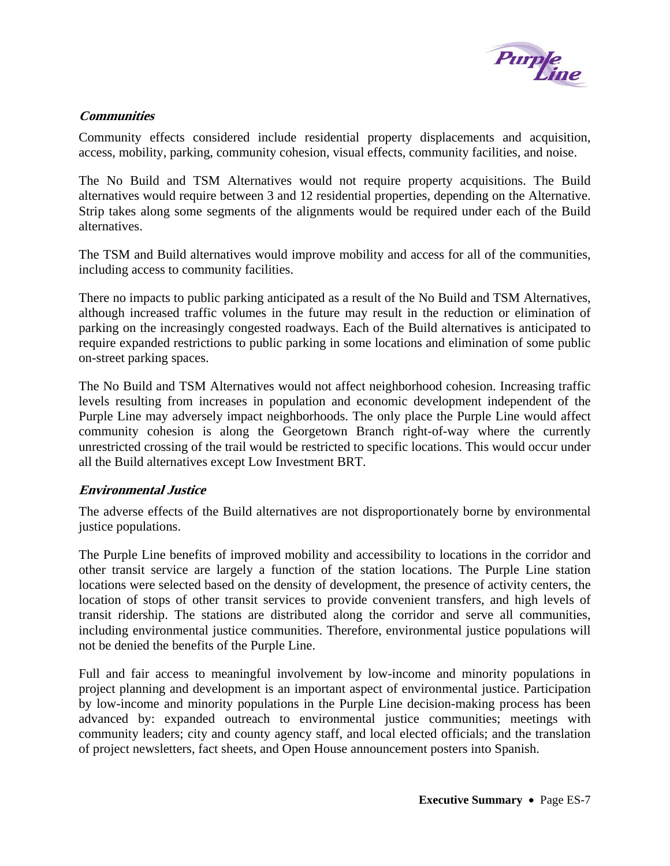

## <span id="page-10-0"></span>**Communities**

Community effects considered include residential property displacements and acquisition, access, mobility, parking, community cohesion, visual effects, community facilities, and noise.

The No Build and TSM Alternatives would not require property acquisitions. The Build alternatives would require between 3 and 12 residential properties, depending on the Alternative. Strip takes along some segments of the alignments would be required under each of the Build alternatives.

The TSM and Build alternatives would improve mobility and access for all of the communities, including access to community facilities.

There no impacts to public parking anticipated as a result of the No Build and TSM Alternatives, although increased traffic volumes in the future may result in the reduction or elimination of parking on the increasingly congested roadways. Each of the Build alternatives is anticipated to require expanded restrictions to public parking in some locations and elimination of some public on-street parking spaces.

The No Build and TSM Alternatives would not affect neighborhood cohesion. Increasing traffic levels resulting from increases in population and economic development independent of the Purple Line may adversely impact neighborhoods. The only place the Purple Line would affect community cohesion is along the Georgetown Branch right-of-way where the currently unrestricted crossing of the trail would be restricted to specific locations. This would occur under all the Build alternatives except Low Investment BRT.

## **Environmental Justice**

The adverse effects of the Build alternatives are not disproportionately borne by environmental justice populations.

The Purple Line benefits of improved mobility and accessibility to locations in the corridor and other transit service are largely a function of the station locations. The Purple Line station locations were selected based on the density of development, the presence of activity centers, the location of stops of other transit services to provide convenient transfers, and high levels of transit ridership. The stations are distributed along the corridor and serve all communities, including environmental justice communities. Therefore, environmental justice populations will not be denied the benefits of the Purple Line.

Full and fair access to meaningful involvement by low-income and minority populations in project planning and development is an important aspect of environmental justice. Participation by low-income and minority populations in the Purple Line decision-making process has been advanced by: expanded outreach to environmental justice communities; meetings with community leaders; city and county agency staff, and local elected officials; and the translation of project newsletters, fact sheets, and Open House announcement posters into Spanish.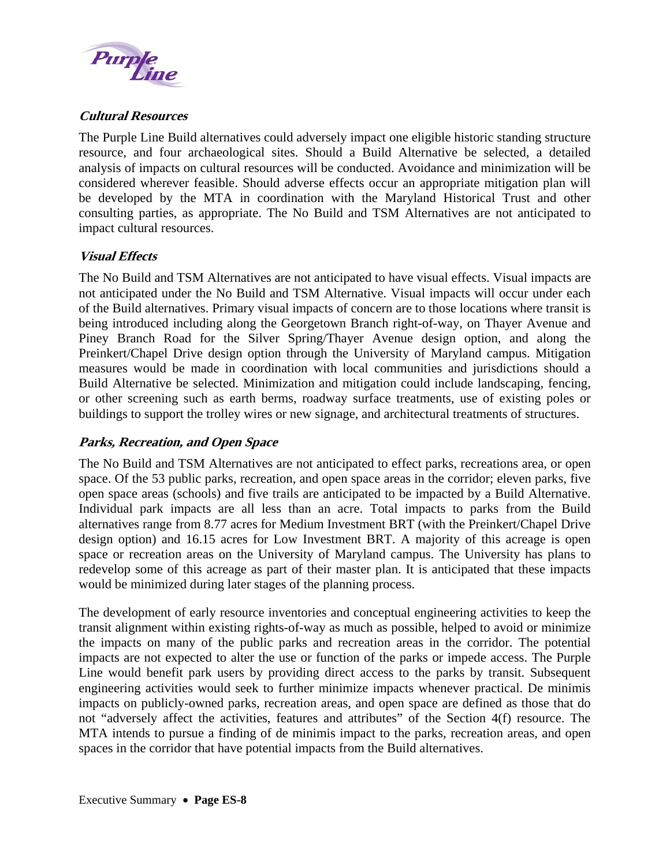<span id="page-11-0"></span>

## **Cultural Resources**

The Purple Line Build alternatives could adversely impact one eligible historic standing structure resource, and four archaeological sites. Should a Build Alternative be selected, a detailed analysis of impacts on cultural resources will be conducted. Avoidance and minimization will be considered wherever feasible. Should adverse effects occur an appropriate mitigation plan will be developed by the MTA in coordination with the Maryland Historical Trust and other consulting parties, as appropriate. The No Build and TSM Alternatives are not anticipated to impact cultural resources.

## **Visual Effects**

The No Build and TSM Alternatives are not anticipated to have visual effects. Visual impacts are not anticipated under the No Build and TSM Alternative. Visual impacts will occur under each of the Build alternatives. Primary visual impacts of concern are to those locations where transit is being introduced including along the Georgetown Branch right-of-way, on Thayer Avenue and Piney Branch Road for the Silver Spring/Thayer Avenue design option, and along the Preinkert/Chapel Drive design option through the University of Maryland campus. Mitigation measures would be made in coordination with local communities and jurisdictions should a Build Alternative be selected. Minimization and mitigation could include landscaping, fencing, or other screening such as earth berms, roadway surface treatments, use of existing poles or buildings to support the trolley wires or new signage, and architectural treatments of structures.

# **Parks, Recreation, and Open Space**

The No Build and TSM Alternatives are not anticipated to effect parks, recreations area, or open space. Of the 53 public parks, recreation, and open space areas in the corridor; eleven parks, five open space areas (schools) and five trails are anticipated to be impacted by a Build Alternative. Individual park impacts are all less than an acre. Total impacts to parks from the Build alternatives range from 8.77 acres for Medium Investment BRT (with the Preinkert/Chapel Drive design option) and 16.15 acres for Low Investment BRT. A majority of this acreage is open space or recreation areas on the University of Maryland campus. The University has plans to redevelop some of this acreage as part of their master plan. It is anticipated that these impacts would be minimized during later stages of the planning process.

The development of early resource inventories and conceptual engineering activities to keep the transit alignment within existing rights-of-way as much as possible, helped to avoid or minimize the impacts on many of the public parks and recreation areas in the corridor. The potential impacts are not expected to alter the use or function of the parks or impede access. The Purple Line would benefit park users by providing direct access to the parks by transit. Subsequent engineering activities would seek to further minimize impacts whenever practical. De minimis impacts on publicly-owned parks, recreation areas, and open space are defined as those that do not "adversely affect the activities, features and attributes" of the Section 4(f) resource. The MTA intends to pursue a finding of de minimis impact to the parks, recreation areas, and open spaces in the corridor that have potential impacts from the Build alternatives.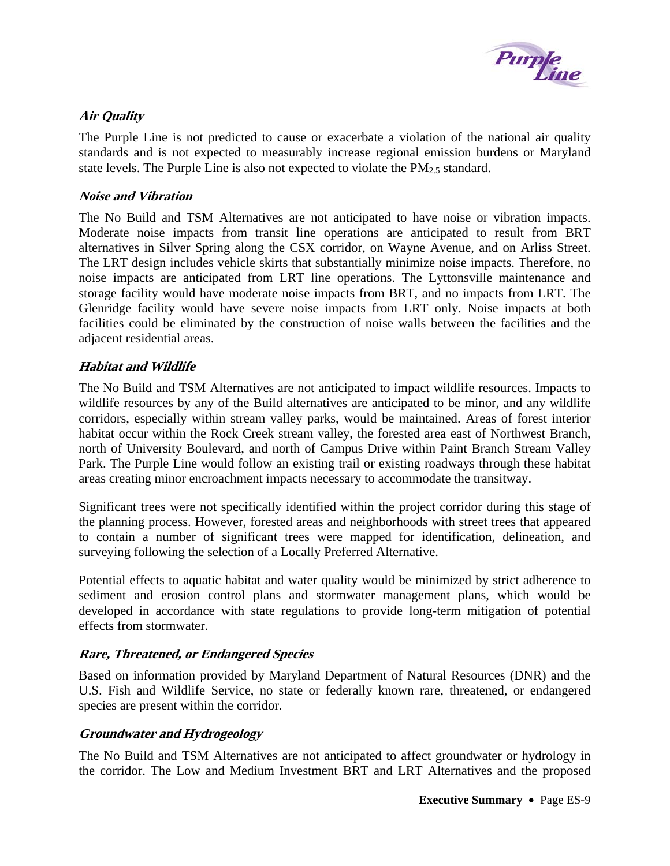

## <span id="page-12-0"></span>**Air Quality**

The Purple Line is not predicted to cause or exacerbate a violation of the national air quality standards and is not expected to measurably increase regional emission burdens or Maryland state levels. The Purple Line is also not expected to violate the  $PM_{2.5}$  standard.

## **Noise and Vibration**

The No Build and TSM Alternatives are not anticipated to have noise or vibration impacts. Moderate noise impacts from transit line operations are anticipated to result from BRT alternatives in Silver Spring along the CSX corridor, on Wayne Avenue, and on Arliss Street. The LRT design includes vehicle skirts that substantially minimize noise impacts. Therefore, no noise impacts are anticipated from LRT line operations. The Lyttonsville maintenance and storage facility would have moderate noise impacts from BRT, and no impacts from LRT. The Glenridge facility would have severe noise impacts from LRT only. Noise impacts at both facilities could be eliminated by the construction of noise walls between the facilities and the adjacent residential areas.

## **Habitat and Wildlife**

The No Build and TSM Alternatives are not anticipated to impact wildlife resources. Impacts to wildlife resources by any of the Build alternatives are anticipated to be minor, and any wildlife corridors, especially within stream valley parks, would be maintained. Areas of forest interior habitat occur within the Rock Creek stream valley, the forested area east of Northwest Branch, north of University Boulevard, and north of Campus Drive within Paint Branch Stream Valley Park. The Purple Line would follow an existing trail or existing roadways through these habitat areas creating minor encroachment impacts necessary to accommodate the transitway.

Significant trees were not specifically identified within the project corridor during this stage of the planning process. However, forested areas and neighborhoods with street trees that appeared to contain a number of significant trees were mapped for identification, delineation, and surveying following the selection of a Locally Preferred Alternative.

Potential effects to aquatic habitat and water quality would be minimized by strict adherence to sediment and erosion control plans and stormwater management plans, which would be developed in accordance with state regulations to provide long-term mitigation of potential effects from stormwater.

## **Rare, Threatened, or Endangered Species**

Based on information provided by Maryland Department of Natural Resources (DNR) and the U.S. Fish and Wildlife Service, no state or federally known rare, threatened, or endangered species are present within the corridor.

## **Groundwater and Hydrogeology**

The No Build and TSM Alternatives are not anticipated to affect groundwater or hydrology in the corridor. The Low and Medium Investment BRT and LRT Alternatives and the proposed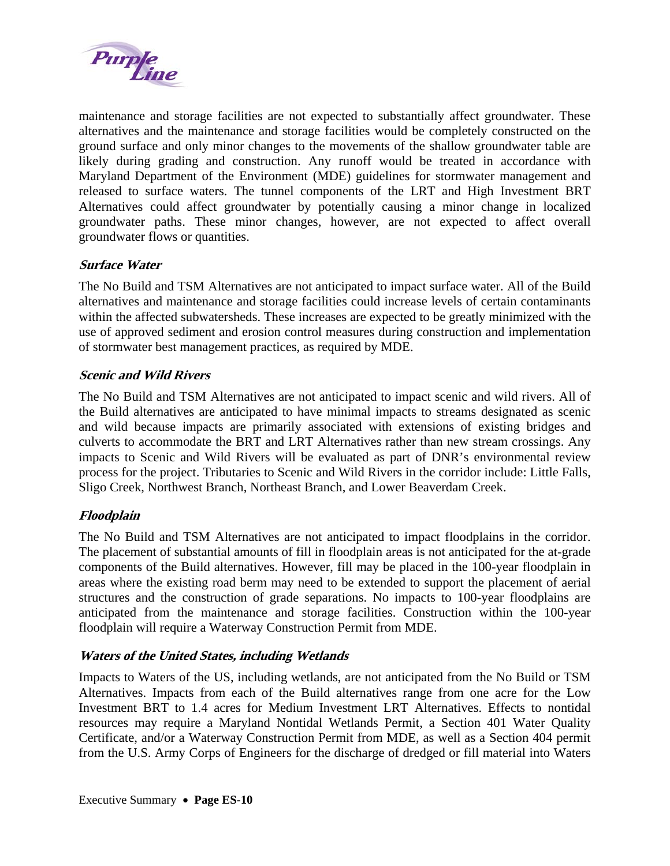<span id="page-13-0"></span>

maintenance and storage facilities are not expected to substantially affect groundwater. These alternatives and the maintenance and storage facilities would be completely constructed on the ground surface and only minor changes to the movements of the shallow groundwater table are likely during grading and construction. Any runoff would be treated in accordance with Maryland Department of the Environment (MDE) guidelines for stormwater management and released to surface waters. The tunnel components of the LRT and High Investment BRT Alternatives could affect groundwater by potentially causing a minor change in localized groundwater paths. These minor changes, however, are not expected to affect overall groundwater flows or quantities.

## **Surface Water**

The No Build and TSM Alternatives are not anticipated to impact surface water. All of the Build alternatives and maintenance and storage facilities could increase levels of certain contaminants within the affected subwatersheds. These increases are expected to be greatly minimized with the use of approved sediment and erosion control measures during construction and implementation of stormwater best management practices, as required by MDE.

## **Scenic and Wild Rivers**

The No Build and TSM Alternatives are not anticipated to impact scenic and wild rivers. All of the Build alternatives are anticipated to have minimal impacts to streams designated as scenic and wild because impacts are primarily associated with extensions of existing bridges and culverts to accommodate the BRT and LRT Alternatives rather than new stream crossings. Any impacts to Scenic and Wild Rivers will be evaluated as part of DNR's environmental review process for the project. Tributaries to Scenic and Wild Rivers in the corridor include: Little Falls, Sligo Creek, Northwest Branch, Northeast Branch, and Lower Beaverdam Creek.

# **Floodplain**

The No Build and TSM Alternatives are not anticipated to impact floodplains in the corridor. The placement of substantial amounts of fill in floodplain areas is not anticipated for the at-grade components of the Build alternatives. However, fill may be placed in the 100-year floodplain in areas where the existing road berm may need to be extended to support the placement of aerial structures and the construction of grade separations. No impacts to 100-year floodplains are anticipated from the maintenance and storage facilities. Construction within the 100-year floodplain will require a Waterway Construction Permit from MDE.

## **Waters of the United States, including Wetlands**

Impacts to Waters of the US, including wetlands, are not anticipated from the No Build or TSM Alternatives. Impacts from each of the Build alternatives range from one acre for the Low Investment BRT to 1.4 acres for Medium Investment LRT Alternatives. Effects to nontidal resources may require a Maryland Nontidal Wetlands Permit, a Section 401 Water Quality Certificate, and/or a Waterway Construction Permit from MDE, as well as a Section 404 permit from the U.S. Army Corps of Engineers for the discharge of dredged or fill material into Waters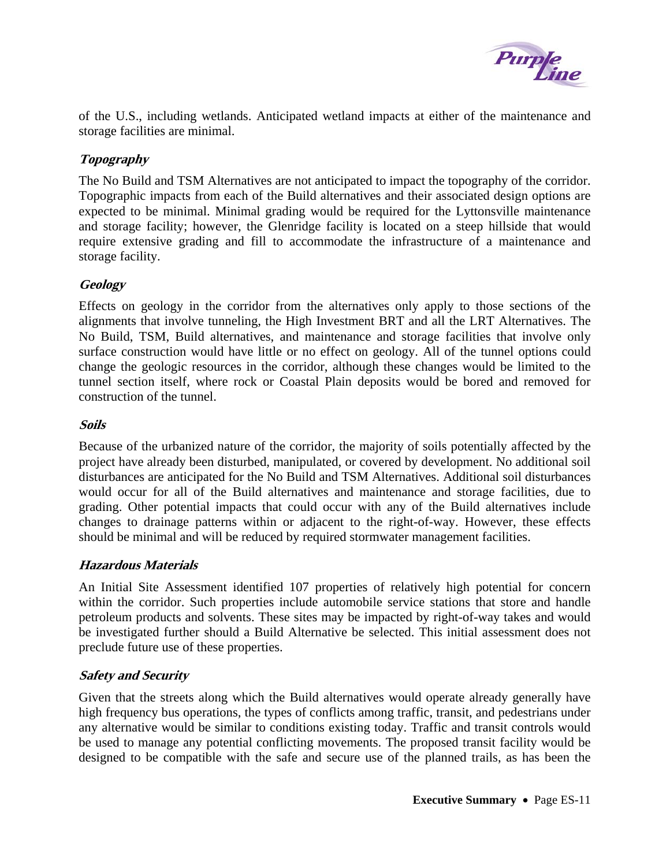

<span id="page-14-0"></span>of the U.S., including wetlands. Anticipated wetland impacts at either of the maintenance and storage facilities are minimal.

# **Topography**

The No Build and TSM Alternatives are not anticipated to impact the topography of the corridor. Topographic impacts from each of the Build alternatives and their associated design options are expected to be minimal. Minimal grading would be required for the Lyttonsville maintenance and storage facility; however, the Glenridge facility is located on a steep hillside that would require extensive grading and fill to accommodate the infrastructure of a maintenance and storage facility.

# **Geology**

Effects on geology in the corridor from the alternatives only apply to those sections of the alignments that involve tunneling, the High Investment BRT and all the LRT Alternatives. The No Build, TSM, Build alternatives, and maintenance and storage facilities that involve only surface construction would have little or no effect on geology. All of the tunnel options could change the geologic resources in the corridor, although these changes would be limited to the tunnel section itself, where rock or Coastal Plain deposits would be bored and removed for construction of the tunnel.

## **Soils**

Because of the urbanized nature of the corridor, the majority of soils potentially affected by the project have already been disturbed, manipulated, or covered by development. No additional soil disturbances are anticipated for the No Build and TSM Alternatives. Additional soil disturbances would occur for all of the Build alternatives and maintenance and storage facilities, due to grading. Other potential impacts that could occur with any of the Build alternatives include changes to drainage patterns within or adjacent to the right-of-way. However, these effects should be minimal and will be reduced by required stormwater management facilities.

## **Hazardous Materials**

An Initial Site Assessment identified 107 properties of relatively high potential for concern within the corridor. Such properties include automobile service stations that store and handle petroleum products and solvents. These sites may be impacted by right-of-way takes and would be investigated further should a Build Alternative be selected. This initial assessment does not preclude future use of these properties.

## **Safety and Security**

Given that the streets along which the Build alternatives would operate already generally have high frequency bus operations, the types of conflicts among traffic, transit, and pedestrians under any alternative would be similar to conditions existing today. Traffic and transit controls would be used to manage any potential conflicting movements. The proposed transit facility would be designed to be compatible with the safe and secure use of the planned trails, as has been the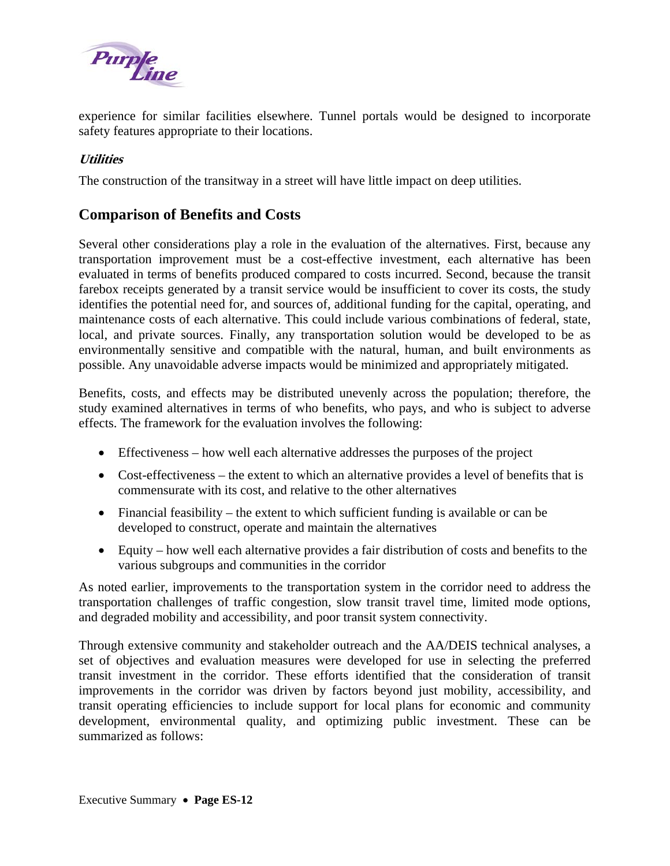<span id="page-15-0"></span>

experience for similar facilities elsewhere. Tunnel portals would be designed to incorporate safety features appropriate to their locations.

# **Utilities**

The construction of the transitway in a street will have little impact on deep utilities.

# **Comparison of Benefits and Costs**

Several other considerations play a role in the evaluation of the alternatives. First, because any transportation improvement must be a cost-effective investment, each alternative has been evaluated in terms of benefits produced compared to costs incurred. Second, because the transit farebox receipts generated by a transit service would be insufficient to cover its costs, the study identifies the potential need for, and sources of, additional funding for the capital, operating, and maintenance costs of each alternative. This could include various combinations of federal, state, local, and private sources. Finally, any transportation solution would be developed to be as environmentally sensitive and compatible with the natural, human, and built environments as possible. Any unavoidable adverse impacts would be minimized and appropriately mitigated.

Benefits, costs, and effects may be distributed unevenly across the population; therefore, the study examined alternatives in terms of who benefits, who pays, and who is subject to adverse effects. The framework for the evaluation involves the following:

- Effectiveness how well each alternative addresses the purposes of the project
- Cost-effectiveness the extent to which an alternative provides a level of benefits that is commensurate with its cost, and relative to the other alternatives
- Financial feasibility the extent to which sufficient funding is available or can be developed to construct, operate and maintain the alternatives
- Equity how well each alternative provides a fair distribution of costs and benefits to the various subgroups and communities in the corridor

As noted earlier, improvements to the transportation system in the corridor need to address the transportation challenges of traffic congestion, slow transit travel time, limited mode options, and degraded mobility and accessibility, and poor transit system connectivity.

Through extensive community and stakeholder outreach and the AA/DEIS technical analyses, a set of objectives and evaluation measures were developed for use in selecting the preferred transit investment in the corridor. These efforts identified that the consideration of transit improvements in the corridor was driven by factors beyond just mobility, accessibility, and transit operating efficiencies to include support for local plans for economic and community development, environmental quality, and optimizing public investment. These can be summarized as follows: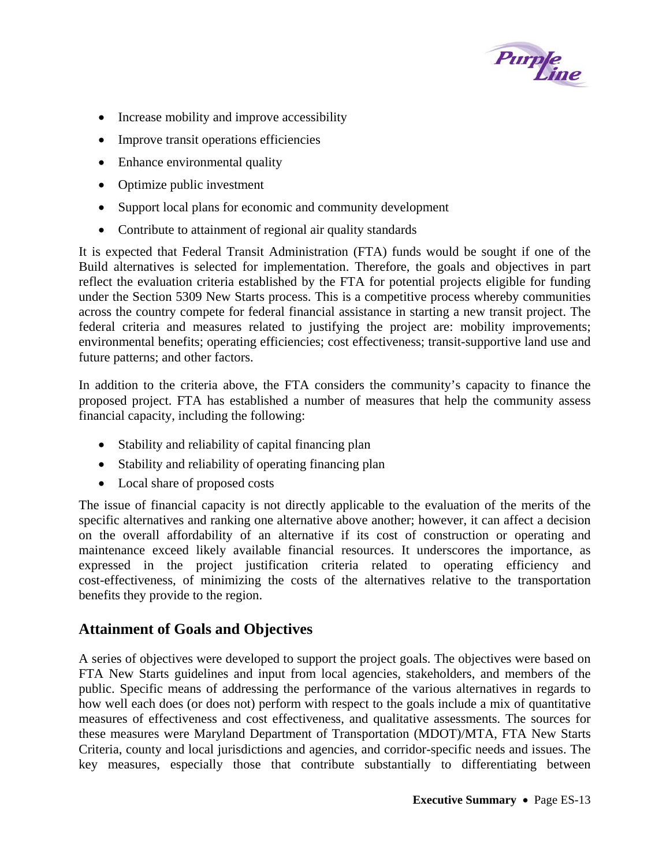

- <span id="page-16-0"></span>• Increase mobility and improve accessibility
- Improve transit operations efficiencies
- Enhance environmental quality
- Optimize public investment
- Support local plans for economic and community development
- Contribute to attainment of regional air quality standards

It is expected that Federal Transit Administration (FTA) funds would be sought if one of the Build alternatives is selected for implementation. Therefore, the goals and objectives in part reflect the evaluation criteria established by the FTA for potential projects eligible for funding under the Section 5309 New Starts process. This is a competitive process whereby communities across the country compete for federal financial assistance in starting a new transit project. The federal criteria and measures related to justifying the project are: mobility improvements; environmental benefits; operating efficiencies; cost effectiveness; transit-supportive land use and future patterns; and other factors.

In addition to the criteria above, the FTA considers the community's capacity to finance the proposed project. FTA has established a number of measures that help the community assess financial capacity, including the following:

- Stability and reliability of capital financing plan
- Stability and reliability of operating financing plan
- Local share of proposed costs

The issue of financial capacity is not directly applicable to the evaluation of the merits of the specific alternatives and ranking one alternative above another; however, it can affect a decision on the overall affordability of an alternative if its cost of construction or operating and maintenance exceed likely available financial resources. It underscores the importance, as expressed in the project justification criteria related to operating efficiency and cost-effectiveness, of minimizing the costs of the alternatives relative to the transportation benefits they provide to the region.

# **Attainment of Goals and Objectives**

A series of objectives were developed to support the project goals. The objectives were based on FTA New Starts guidelines and input from local agencies, stakeholders, and members of the public. Specific means of addressing the performance of the various alternatives in regards to how well each does (or does not) perform with respect to the goals include a mix of quantitative measures of effectiveness and cost effectiveness, and qualitative assessments. The sources for these measures were Maryland Department of Transportation (MDOT)/MTA, FTA New Starts Criteria, county and local jurisdictions and agencies, and corridor-specific needs and issues. The key measures, especially those that contribute substantially to differentiating between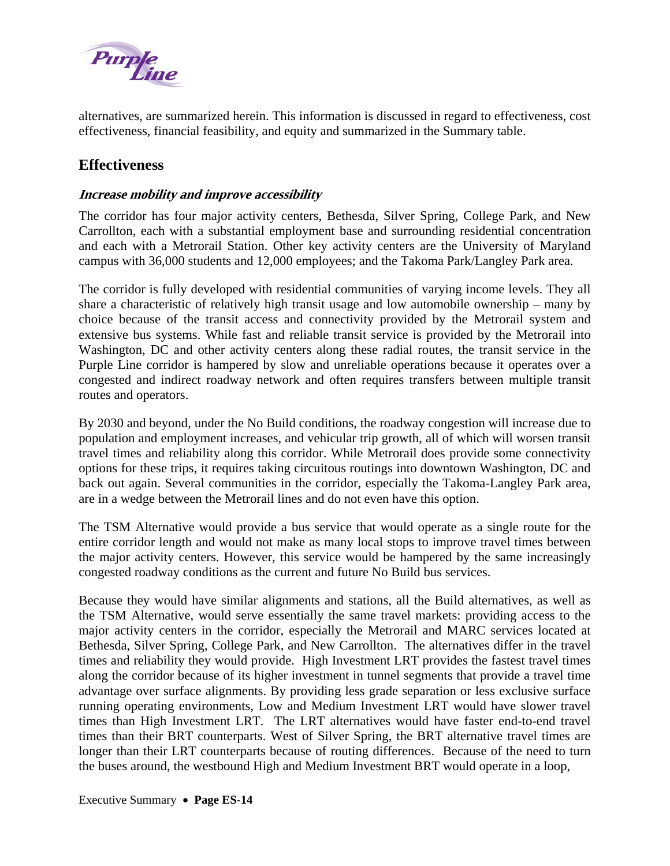<span id="page-17-0"></span>

alternatives, are summarized herein. This information is discussed in regard to effectiveness, cost effectiveness, financial feasibility, and equity and summarized in the Summary table.

# **Effectiveness**

## **Increase mobility and improve accessibility**

The corridor has four major activity centers, Bethesda, Silver Spring, College Park, and New Carrollton, each with a substantial employment base and surrounding residential concentration and each with a Metrorail Station. Other key activity centers are the University of Maryland campus with 36,000 students and 12,000 employees; and the Takoma Park/Langley Park area.

The corridor is fully developed with residential communities of varying income levels. They all share a characteristic of relatively high transit usage and low automobile ownership – many by choice because of the transit access and connectivity provided by the Metrorail system and extensive bus systems. While fast and reliable transit service is provided by the Metrorail into Washington, DC and other activity centers along these radial routes, the transit service in the Purple Line corridor is hampered by slow and unreliable operations because it operates over a congested and indirect roadway network and often requires transfers between multiple transit routes and operators.

By 2030 and beyond, under the No Build conditions, the roadway congestion will increase due to population and employment increases, and vehicular trip growth, all of which will worsen transit travel times and reliability along this corridor. While Metrorail does provide some connectivity options for these trips, it requires taking circuitous routings into downtown Washington, DC and back out again. Several communities in the corridor, especially the Takoma-Langley Park area, are in a wedge between the Metrorail lines and do not even have this option.

The TSM Alternative would provide a bus service that would operate as a single route for the entire corridor length and would not make as many local stops to improve travel times between the major activity centers. However, this service would be hampered by the same increasingly congested roadway conditions as the current and future No Build bus services.

Because they would have similar alignments and stations, all the Build alternatives, as well as the TSM Alternative, would serve essentially the same travel markets: providing access to the major activity centers in the corridor, especially the Metrorail and MARC services located at Bethesda, Silver Spring, College Park, and New Carrollton. The alternatives differ in the travel times and reliability they would provide. High Investment LRT provides the fastest travel times along the corridor because of its higher investment in tunnel segments that provide a travel time advantage over surface alignments. By providing less grade separation or less exclusive surface running operating environments, Low and Medium Investment LRT would have slower travel times than High Investment LRT. The LRT alternatives would have faster end-to-end travel times than their BRT counterparts. West of Silver Spring, the BRT alternative travel times are longer than their LRT counterparts because of routing differences. Because of the need to turn the buses around, the westbound High and Medium Investment BRT would operate in a loop,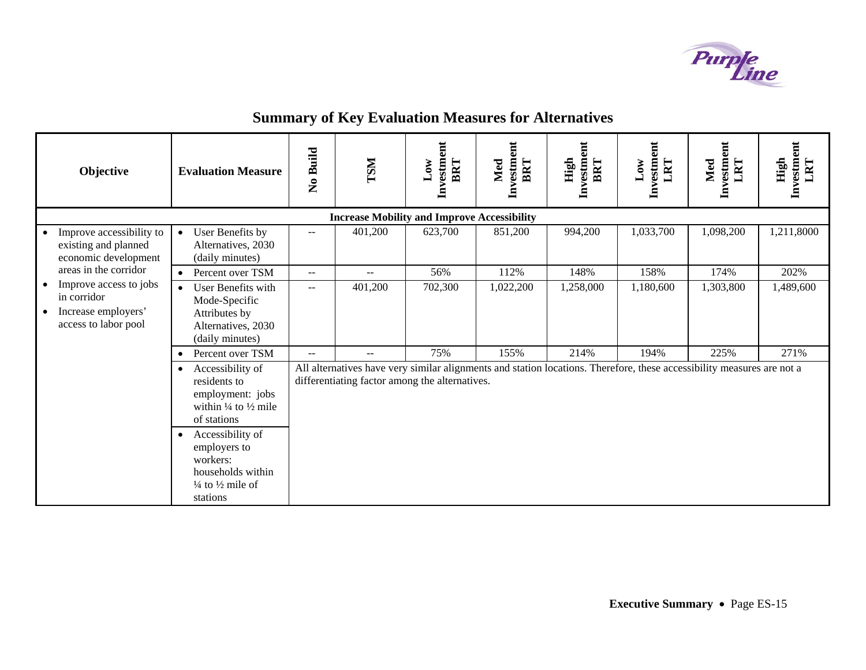

| Objective                                                                             | <b>Evaluation Measure</b>                                                                                                                                                                                                                                              | <b>Build</b><br>$\tilde{\mathbf{z}}$ | <b>TSM</b> | $\overline{a}$<br>Investm<br>BRT<br>$_{\text{Low}}$ | Investment<br>BRT<br>Med | Investment<br>High<br>BRT | ent<br>Investm<br>LRT<br>$_{\rm Low}$ | Investment<br>LRT<br>Med                                                                                               | Investment<br>LRT<br>High |  |  |
|---------------------------------------------------------------------------------------|------------------------------------------------------------------------------------------------------------------------------------------------------------------------------------------------------------------------------------------------------------------------|--------------------------------------|------------|-----------------------------------------------------|--------------------------|---------------------------|---------------------------------------|------------------------------------------------------------------------------------------------------------------------|---------------------------|--|--|
| <b>Increase Mobility and Improve Accessibility</b>                                    |                                                                                                                                                                                                                                                                        |                                      |            |                                                     |                          |                           |                                       |                                                                                                                        |                           |  |  |
| Improve accessibility to<br>$\bullet$<br>existing and planned<br>economic development | User Benefits by<br>$\bullet$<br>Alternatives, 2030<br>(daily minutes)                                                                                                                                                                                                 | $- -$                                | 401,200    | 623,700                                             | 851,200                  | 994,200                   | 1,033,700                             | 1,098,200                                                                                                              | 1,211,8000                |  |  |
| areas in the corridor                                                                 | Percent over TSM                                                                                                                                                                                                                                                       | $--$                                 | $- -$      | 56%                                                 | 112%                     | 148%                      | 158%                                  | 174%                                                                                                                   | 202%                      |  |  |
| Improve access to jobs<br>in corridor<br>Increase employers'<br>access to labor pool  | User Benefits with<br>$\bullet$<br>Mode-Specific<br>Attributes by<br>Alternatives, 2030<br>(daily minutes)                                                                                                                                                             | $-1$                                 | 401,200    | 702,300                                             | 1,022,200                | 1,258,000                 | 1,180,600                             | 1,303,800                                                                                                              | 1,489,600                 |  |  |
|                                                                                       | Percent over TSM<br>$\bullet$                                                                                                                                                                                                                                          | $- -$                                | $- -$      | 75%                                                 | 155%                     | 214%                      | 194%                                  | 225%                                                                                                                   | 271%                      |  |  |
|                                                                                       | Accessibility of<br>$\bullet$<br>residents to<br>employment: jobs<br>within $\frac{1}{4}$ to $\frac{1}{2}$ mile<br>of stations<br>Accessibility of<br>$\bullet$<br>employers to<br>workers:<br>households within<br>$\frac{1}{4}$ to $\frac{1}{2}$ mile of<br>stations |                                      |            | differentiating factor among the alternatives.      |                          |                           |                                       | All alternatives have very similar alignments and station locations. Therefore, these accessibility measures are not a |                           |  |  |

# **Summary of Key Evaluation Measures for Alternatives**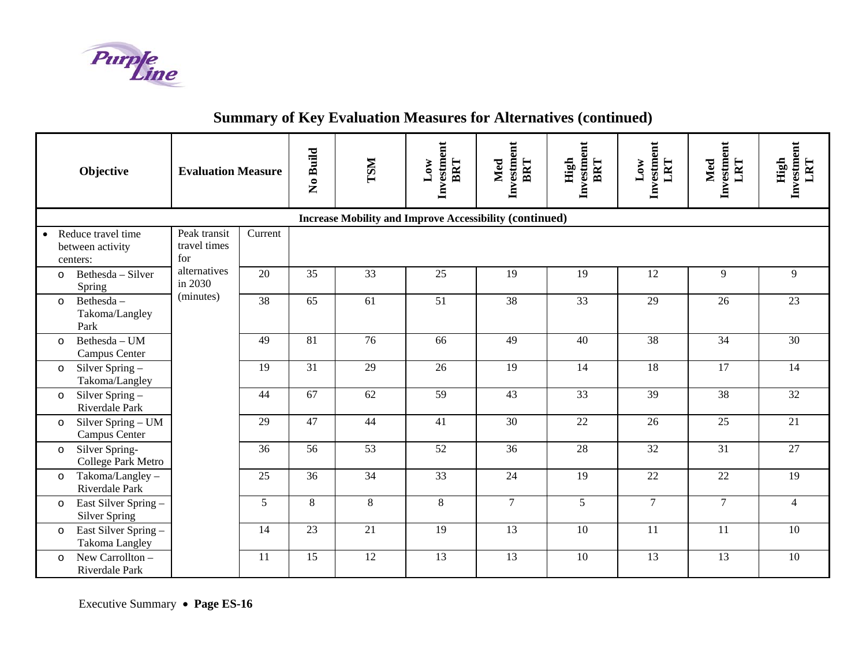

| Objective                                                | <b>Evaluation Measure</b>           |         | No Build | <b>TSM</b>      | Investment<br>BRT<br>$_{\rm Low}$                              | Investment<br>BRT<br>Med | Investment<br>High<br>BRT | Investment<br>LRT<br>$_{\rm Low}$ | Investment<br>LRT<br>Med | Investment<br>High<br>LRT |
|----------------------------------------------------------|-------------------------------------|---------|----------|-----------------|----------------------------------------------------------------|--------------------------|---------------------------|-----------------------------------|--------------------------|---------------------------|
|                                                          |                                     |         |          |                 | <b>Increase Mobility and Improve Accessibility (continued)</b> |                          |                           |                                   |                          |                           |
| • Reduce travel time<br>between activity<br>centers:     | Peak transit<br>travel times<br>for | Current |          |                 |                                                                |                          |                           |                                   |                          |                           |
| Bethesda - Silver<br>$\circ$<br>Spring                   | alternatives<br>in 2030             | 20      | 35       | 33              | 25                                                             | 19                       | 19                        | 12                                | 9                        | 9                         |
| Bethesda-<br>$\circ$<br>Takoma/Langley<br>Park           | (minutes)                           | 38      | 65       | 61              | 51                                                             | 38                       | 33                        | 29                                | 26                       | 23                        |
| Bethesda - UM<br>$\Omega$<br>Campus Center               |                                     | 49      | 81       | 76              | 66                                                             | 49                       | 40                        | 38                                | 34                       | 30                        |
| Silver Spring $-$<br>$\circ$<br>Takoma/Langley           |                                     | 19      | 31       | 29              | 26                                                             | 19                       | 14                        | 18                                | 17                       | 14                        |
| Silver Spring -<br>$\circ$<br>Riverdale Park             |                                     | 44      | 67       | $\overline{62}$ | 59                                                             | 43                       | $\overline{33}$           | 39                                | 38                       | 32                        |
| Silver Spring – UM<br>$\circ$<br>Campus Center           |                                     | 29      | 47       | 44              | 41                                                             | 30                       | 22                        | 26                                | 25                       | 21                        |
| Silver Spring-<br>$\circ$<br>College Park Metro          |                                     | 36      | 56       | $\overline{53}$ | $\overline{52}$                                                | 36                       | 28                        | 32                                | 31                       | 27                        |
| Takoma/Langley -<br>$\circ$<br>Riverdale Park            |                                     | 25      | 36       | 34              | 33                                                             | 24                       | 19                        | 22                                | 22                       | 19                        |
| East Silver Spring -<br>$\circ$<br><b>Silver Spring</b>  |                                     | 5       | 8        | $\,8\,$         | $8\,$                                                          | $\overline{7}$           | $\overline{5}$            | $\overline{7}$                    | $\overline{7}$           | $\overline{4}$            |
| East Silver Spring -<br>$\circ$<br><b>Takoma Langley</b> |                                     | 14      | 23       | 21              | 19                                                             | 13                       | 10                        | 11                                | 11                       | 10                        |
| New Carrollton -<br>$\Omega$<br>Riverdale Park           |                                     | 11      | 15       | 12              | 13                                                             | 13                       | 10                        | 13                                | 13                       | 10                        |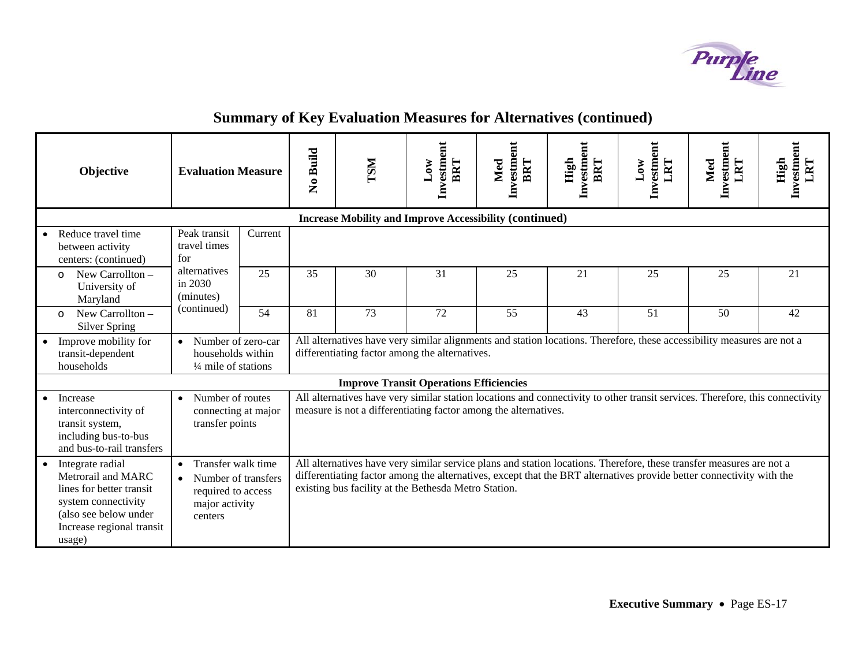

| Objective                                                                                                                                                 |                                                                                                           | <b>Evaluation Measure</b> |                                                                                                                                                                                                                                                    | <b>LSM</b>                                                                                                                                                                                                                                                                                           | Investment<br>BRT<br>$_{\rm Low}$                              | Investment<br>BRT<br>Med | Investment<br>High<br>BRT | ent<br>Investm<br>LRT<br>10W | Investment<br>LRT<br>Med | Investment<br>LRT<br>High |
|-----------------------------------------------------------------------------------------------------------------------------------------------------------|-----------------------------------------------------------------------------------------------------------|---------------------------|----------------------------------------------------------------------------------------------------------------------------------------------------------------------------------------------------------------------------------------------------|------------------------------------------------------------------------------------------------------------------------------------------------------------------------------------------------------------------------------------------------------------------------------------------------------|----------------------------------------------------------------|--------------------------|---------------------------|------------------------------|--------------------------|---------------------------|
|                                                                                                                                                           |                                                                                                           |                           |                                                                                                                                                                                                                                                    |                                                                                                                                                                                                                                                                                                      | <b>Increase Mobility and Improve Accessibility (continued)</b> |                          |                           |                              |                          |                           |
| Reduce travel time<br>between activity<br>centers: (continued)                                                                                            | Peak transit<br>travel times<br>for                                                                       | Current                   |                                                                                                                                                                                                                                                    |                                                                                                                                                                                                                                                                                                      |                                                                |                          |                           |                              |                          |                           |
| New Carrollton -<br>$\Omega$<br>University of<br>Maryland                                                                                                 | alternatives<br>in 2030<br>(minutes)                                                                      | 25                        | 35                                                                                                                                                                                                                                                 | 30                                                                                                                                                                                                                                                                                                   | 31                                                             | 25                       | 21                        | 25                           | 25                       | 21                        |
| New Carrollton -<br>$\Omega$<br><b>Silver Spring</b>                                                                                                      | (continued)                                                                                               | 54                        | 81                                                                                                                                                                                                                                                 | 73                                                                                                                                                                                                                                                                                                   | 72                                                             | 55                       | 43                        | 51                           | 50                       | 42                        |
| Improve mobility for<br>transit-dependent<br>households                                                                                                   | Number of zero-car<br>$\bullet$<br>households within<br>$\frac{1}{4}$ mile of stations                    |                           |                                                                                                                                                                                                                                                    | All alternatives have very similar alignments and station locations. Therefore, these accessibility measures are not a<br>differentiating factor among the alternatives.                                                                                                                             |                                                                |                          |                           |                              |                          |                           |
|                                                                                                                                                           |                                                                                                           |                           |                                                                                                                                                                                                                                                    |                                                                                                                                                                                                                                                                                                      |                                                                |                          |                           |                              |                          |                           |
| Increase<br>interconnectivity of<br>transit system,<br>including bus-to-bus<br>and bus-to-rail transfers                                                  | Number of routes<br>connecting at major<br>transfer points                                                |                           | <b>Improve Transit Operations Efficiencies</b><br>All alternatives have very similar station locations and connectivity to other transit services. Therefore, this connectivity<br>measure is not a differentiating factor among the alternatives. |                                                                                                                                                                                                                                                                                                      |                                                                |                          |                           |                              |                          |                           |
| Integrate radial<br>Metrorail and MARC<br>lines for better transit<br>system connectivity<br>(also see below under<br>Increase regional transit<br>usage) | Transfer walk time<br>$\bullet$<br>Number of transfers<br>required to access<br>major activity<br>centers |                           |                                                                                                                                                                                                                                                    | All alternatives have very similar service plans and station locations. Therefore, these transfer measures are not a<br>differentiating factor among the alternatives, except that the BRT alternatives provide better connectivity with the<br>existing bus facility at the Bethesda Metro Station. |                                                                |                          |                           |                              |                          |                           |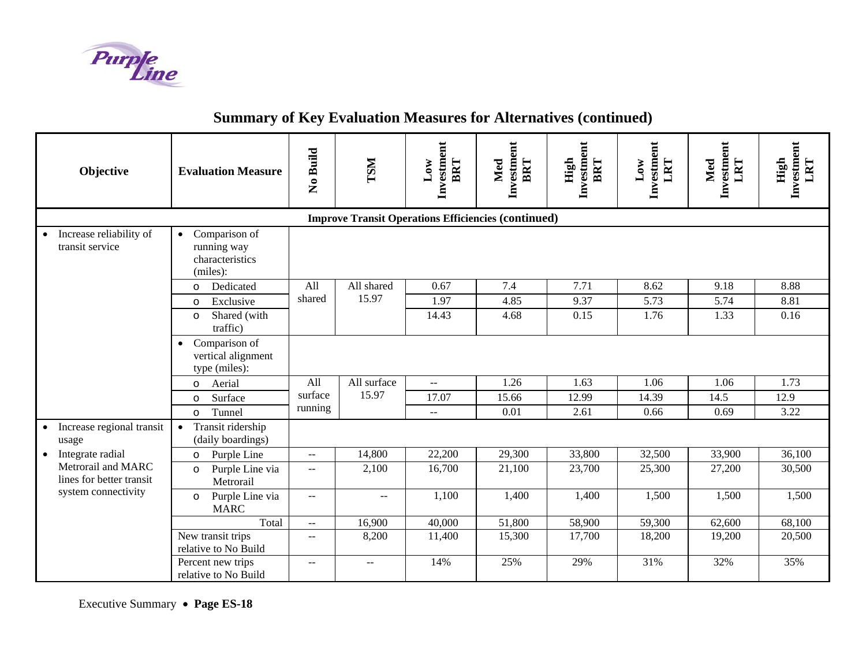

| Objective                                                  | <b>Evaluation Measure</b>                                                | No Build                                      | <b>LSM</b>    | Investment<br>BRT<br>$_{\text{Low}}$ | Investment<br>BRT<br>Med | Investment<br>High<br>BRT | Investment<br>LRT<br>$_{\rm Low}$ | Investment<br>LRT<br>Med | Investment<br>LRT<br>High |  |
|------------------------------------------------------------|--------------------------------------------------------------------------|-----------------------------------------------|---------------|--------------------------------------|--------------------------|---------------------------|-----------------------------------|--------------------------|---------------------------|--|
| <b>Improve Transit Operations Efficiencies (continued)</b> |                                                                          |                                               |               |                                      |                          |                           |                                   |                          |                           |  |
| Increase reliability of<br>$\bullet$<br>transit service    | Comparison of<br>$\bullet$<br>running way<br>characteristics<br>(miles): |                                               |               |                                      |                          |                           |                                   |                          |                           |  |
|                                                            | Dedicated<br>$\circ$                                                     | All                                           | All shared    | 0.67                                 | 7.4                      | 7.71                      | 8.62                              | 9.18                     | 8.88                      |  |
|                                                            | Exclusive<br>$\Omega$                                                    | shared                                        | 15.97         | 1.97                                 | 4.85                     | 9.37                      | 5.73                              | 5.74                     | 8.81                      |  |
|                                                            | Shared (with<br>$\circ$<br>traffic)                                      |                                               |               | 14.43                                | 4.68                     | 0.15                      | 1.76                              | 1.33                     | 0.16                      |  |
|                                                            | Comparison of<br>$\bullet$<br>vertical alignment<br>type (miles):        |                                               |               |                                      |                          |                           |                                   |                          |                           |  |
|                                                            | Aerial<br>$\circ$                                                        | All                                           | All surface   | $\overline{a}$                       | 1.26                     | 1.63                      | 1.06                              | 1.06                     | 1.73                      |  |
|                                                            | Surface<br>$\circ$                                                       | surface                                       | 15.97         | 17.07                                | 15.66                    | 12.99                     | 14.39                             | 14.5                     | 12.9                      |  |
|                                                            | Tunnel<br>$\circ$                                                        | running                                       |               | $-$                                  | 0.01                     | 2.61                      | 0.66                              | 0.69                     | 3.22                      |  |
| Increase regional transit<br>$\bullet$<br>usage            | Transit ridership<br>$\bullet$<br>(daily boardings)                      |                                               |               |                                      |                          |                           |                                   |                          |                           |  |
| Integrate radial                                           | Purple Line<br>$\circ$                                                   | $\overline{a}$                                | 14,800        | 22,200                               | 29,300                   | 33,800                    | 32,500                            | 33,900                   | 36,100                    |  |
| Metrorail and MARC<br>lines for better transit             | Purple Line via<br>$\circ$<br>Metrorail                                  | $-$                                           | 2,100         | 16,700                               | 21,100                   | 23,700                    | 25,300                            | 27,200                   | 30,500                    |  |
| system connectivity                                        | Purple Line via<br>$\circ$<br><b>MARC</b>                                | $\mathord{\hspace{1pt}\text{--}\hspace{1pt}}$ | $\sim$ $\sim$ | 1,100                                | 1,400                    | 1,400                     | 1,500                             | 1,500                    | 1,500                     |  |
|                                                            | Total                                                                    | $-$                                           | 16,900        | 40,000                               | 51,800                   | 58,900                    | 59,300                            | 62,600                   | 68,100                    |  |
|                                                            | New transit trips<br>relative to No Build                                | $\overline{\phantom{a}}$                      | 8,200         | 11,400                               | 15,300                   | 17,700                    | 18,200                            | 19,200                   | 20,500                    |  |
|                                                            | Percent new trips<br>relative to No Build                                | $-$                                           | $\mathbf{u}$  | 14%                                  | 25%                      | 29%                       | 31%                               | 32%                      | 35%                       |  |

Executive Summary • **Page ES-18**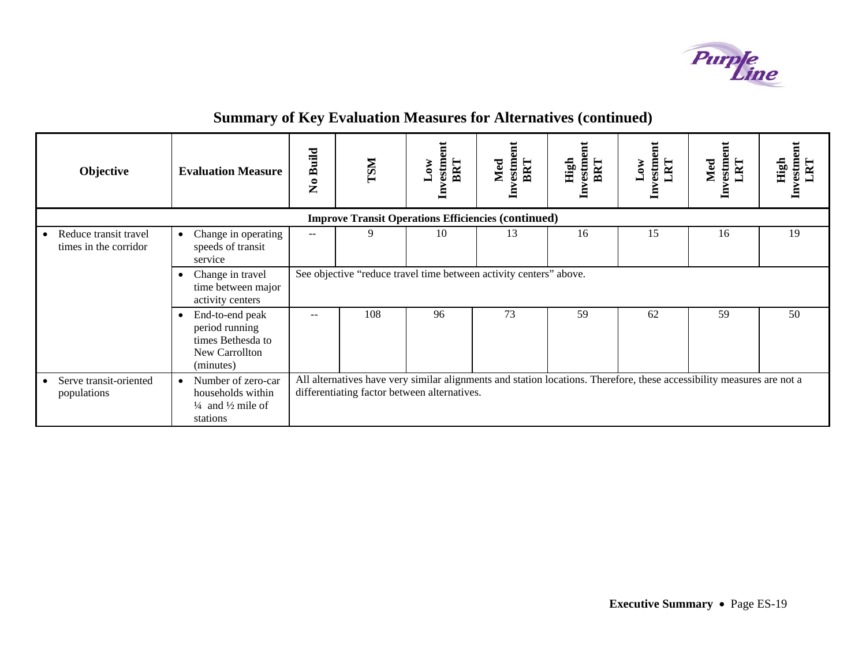

| Objective                                                   | <b>Evaluation Measure</b>                                                                                   | <b>Build</b><br>$\tilde{\mathbf{z}}$                               | <b>ISM</b> | vestm<br>BRT<br>$_{\rm Low}$<br>ᆯ            | vestment<br>BRT<br>Med<br>딜 | vestme<br>High<br>BRT<br>日 | $\overline{\text{m}}$<br>vestm<br>LRT<br>$_{\rm Low}$<br>呂 | Investment<br>LRT<br>Med                                                                                               | vestmen<br>High<br>RT |  |
|-------------------------------------------------------------|-------------------------------------------------------------------------------------------------------------|--------------------------------------------------------------------|------------|----------------------------------------------|-----------------------------|----------------------------|------------------------------------------------------------|------------------------------------------------------------------------------------------------------------------------|-----------------------|--|
|                                                             | <b>Improve Transit Operations Efficiencies (continued)</b>                                                  |                                                                    |            |                                              |                             |                            |                                                            |                                                                                                                        |                       |  |
| Reduce transit travel<br>$\bullet$<br>times in the corridor | Change in operating<br>$\bullet$<br>speeds of transit<br>service                                            | $-$                                                                | 9          | 10                                           | 13                          | 16                         | 15                                                         | 16                                                                                                                     | 19                    |  |
|                                                             | Change in travel<br>time between major<br>activity centers                                                  | See objective "reduce travel time between activity centers" above. |            |                                              |                             |                            |                                                            |                                                                                                                        |                       |  |
|                                                             | End-to-end peak<br>٠<br>period running<br>times Bethesda to<br>New Carrollton<br>(minutes)                  |                                                                    | 108        | 96                                           | 73                          | 59                         | 62                                                         | 59                                                                                                                     | 50                    |  |
| Serve transit-oriented<br>$\bullet$<br>populations          | Number of zero-car<br>$\bullet$<br>households within<br>$\frac{1}{4}$ and $\frac{1}{2}$ mile of<br>stations |                                                                    |            | differentiating factor between alternatives. |                             |                            |                                                            | All alternatives have very similar alignments and station locations. Therefore, these accessibility measures are not a |                       |  |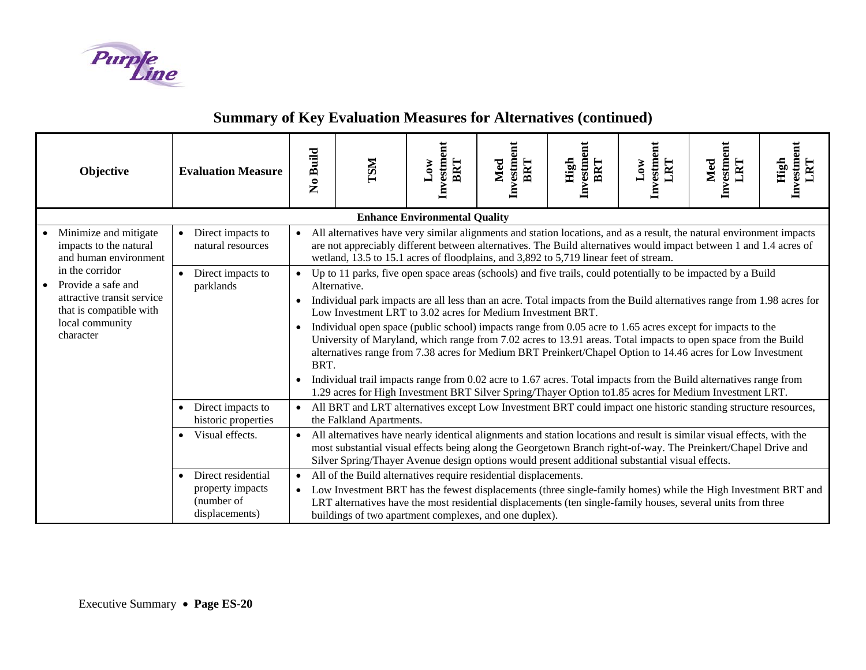

| Objective                                                                                                                      | <b>Evaluation Measure</b>                                                           | No Build                                                                                                                                                                                                                                                                                                                                    | <b>TSM</b>                                                                                                                                                                                                                                                                                                                                                                                                                                                                                                                                                                                                                                                                                                                                                                                                                                                                                                   | ent<br>Investm<br>BRT<br>10W                                                                                   | Investment<br>BRT<br>Med | Investment<br>High<br>BRT | $\overline{\text{m}}$<br>Investm<br>LRT<br>$\overline{\text{Low}}$ | Investment<br>LRT<br>Med | Investment<br>LRT<br>High |  |
|--------------------------------------------------------------------------------------------------------------------------------|-------------------------------------------------------------------------------------|---------------------------------------------------------------------------------------------------------------------------------------------------------------------------------------------------------------------------------------------------------------------------------------------------------------------------------------------|--------------------------------------------------------------------------------------------------------------------------------------------------------------------------------------------------------------------------------------------------------------------------------------------------------------------------------------------------------------------------------------------------------------------------------------------------------------------------------------------------------------------------------------------------------------------------------------------------------------------------------------------------------------------------------------------------------------------------------------------------------------------------------------------------------------------------------------------------------------------------------------------------------------|----------------------------------------------------------------------------------------------------------------|--------------------------|---------------------------|--------------------------------------------------------------------|--------------------------|---------------------------|--|
|                                                                                                                                |                                                                                     |                                                                                                                                                                                                                                                                                                                                             |                                                                                                                                                                                                                                                                                                                                                                                                                                                                                                                                                                                                                                                                                                                                                                                                                                                                                                              | <b>Enhance Environmental Quality</b>                                                                           |                          |                           |                                                                    |                          |                           |  |
| Minimize and mitigate<br>impacts to the natural<br>and human environment                                                       | Direct impacts to<br>$\bullet$<br>natural resources                                 | $\bullet$                                                                                                                                                                                                                                                                                                                                   | All alternatives have very similar alignments and station locations, and as a result, the natural environment impacts<br>are not appreciably different between alternatives. The Build alternatives would impact between 1 and 1.4 acres of<br>wetland, 13.5 to 15.1 acres of floodplains, and 3,892 to 5,719 linear feet of stream.                                                                                                                                                                                                                                                                                                                                                                                                                                                                                                                                                                         |                                                                                                                |                          |                           |                                                                    |                          |                           |  |
| in the corridor<br>Provide a safe and<br>attractive transit service<br>that is compatible with<br>local community<br>character | Direct impacts to<br>parklands                                                      | $\bullet$<br>$\bullet$<br>$\bullet$                                                                                                                                                                                                                                                                                                         | Up to 11 parks, five open space areas (schools) and five trails, could potentially to be impacted by a Build<br>Alternative.<br>Individual park impacts are all less than an acre. Total impacts from the Build alternatives range from 1.98 acres for<br>Low Investment LRT to 3.02 acres for Medium Investment BRT.<br>Individual open space (public school) impacts range from 0.05 acre to 1.65 acres except for impacts to the<br>University of Maryland, which range from 7.02 acres to 13.91 areas. Total impacts to open space from the Build<br>alternatives range from 7.38 acres for Medium BRT Preinkert/Chapel Option to 14.46 acres for Low Investment<br>BRT.<br>Individual trail impacts range from 0.02 acre to 1.67 acres. Total impacts from the Build alternatives range from<br>1.29 acres for High Investment BRT Silver Spring/Thayer Option to 1.85 acres for Medium Investment LRT. |                                                                                                                |                          |                           |                                                                    |                          |                           |  |
|                                                                                                                                | Direct impacts to<br>$\bullet$<br>historic properties                               |                                                                                                                                                                                                                                                                                                                                             | the Falkland Apartments.                                                                                                                                                                                                                                                                                                                                                                                                                                                                                                                                                                                                                                                                                                                                                                                                                                                                                     | All BRT and LRT alternatives except Low Investment BRT could impact one historic standing structure resources, |                          |                           |                                                                    |                          |                           |  |
|                                                                                                                                | Visual effects.<br>$\bullet$                                                        | All alternatives have nearly identical alignments and station locations and result is similar visual effects, with the<br>most substantial visual effects being along the Georgetown Branch right-of-way. The Preinkert/Chapel Drive and<br>Silver Spring/Thayer Avenue design options would present additional substantial visual effects. |                                                                                                                                                                                                                                                                                                                                                                                                                                                                                                                                                                                                                                                                                                                                                                                                                                                                                                              |                                                                                                                |                          |                           |                                                                    |                          |                           |  |
|                                                                                                                                | Direct residential<br>$\bullet$<br>property impacts<br>(number of<br>displacements) | $\bullet$                                                                                                                                                                                                                                                                                                                                   | All of the Build alternatives require residential displacements.<br>• Low Investment BRT has the fewest displacements (three single-family homes) while the High Investment BRT and<br>LRT alternatives have the most residential displacements (ten single-family houses, several units from three<br>buildings of two apartment complexes, and one duplex).                                                                                                                                                                                                                                                                                                                                                                                                                                                                                                                                                |                                                                                                                |                          |                           |                                                                    |                          |                           |  |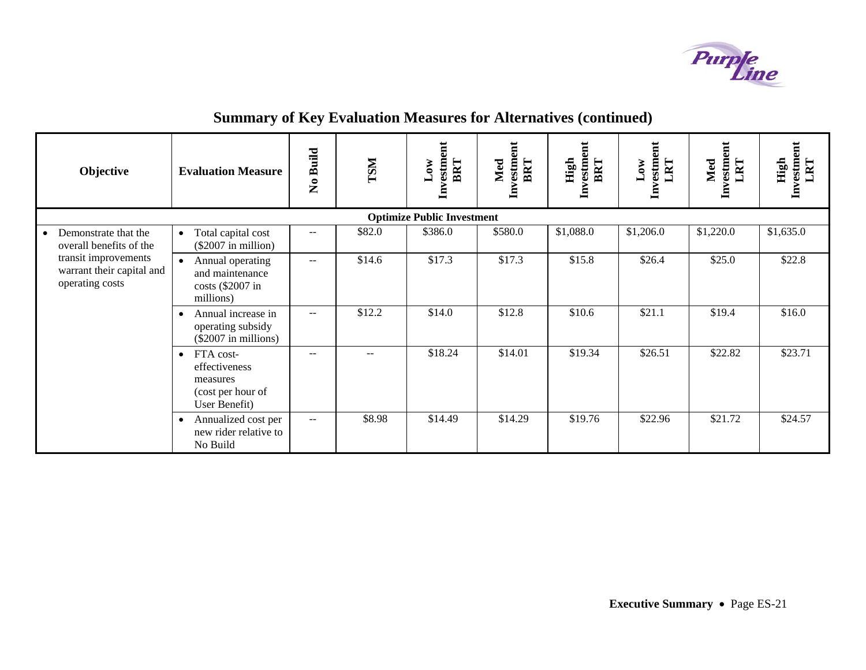

|  | <b>Objective</b>                                                     | <b>Evaluation Measure</b>                                                                 | <b>Build</b><br>$\tilde{\mathbf{z}}$ | <b>INST</b>       | $\overline{a}$<br>Investme<br>BRT<br>$_{\rm Low}$ | Investment<br>BRT<br>Med | Investment<br>High<br>BRT | ent<br>Investm<br>LRT<br>$_{\text{Low}}$ | Investment<br>LRT<br>Med | Investment<br>High<br>LRT |
|--|----------------------------------------------------------------------|-------------------------------------------------------------------------------------------|--------------------------------------|-------------------|---------------------------------------------------|--------------------------|---------------------------|------------------------------------------|--------------------------|---------------------------|
|  |                                                                      |                                                                                           |                                      |                   | <b>Optimize Public Investment</b>                 |                          |                           |                                          |                          |                           |
|  | Demonstrate that the<br>overall benefits of the                      | Total capital cost<br>$\bullet$<br>(\$2007 in million)                                    | --                                   | \$82.0            | \$386.0                                           | \$580.0                  | \$1,088.0                 | \$1,206.0                                | \$1,220.0                | \$1,635.0                 |
|  | transit improvements<br>warrant their capital and<br>operating costs | Annual operating<br>$\bullet$<br>and maintenance<br>costs (\$2007 in<br>millions)         | $\overline{\phantom{m}}$             | \$14.6            | \$17.3                                            | \$17.3                   | \$15.8                    | \$26.4                                   | \$25.0                   | \$22.8                    |
|  |                                                                      | Annual increase in<br>$\bullet$<br>operating subsidy<br>(\$2007 in millions)              | $\sim$ $\sim$                        | \$12.2            | \$14.0                                            | \$12.8                   | \$10.6                    | \$21.1                                   | \$19.4                   | \$16.0                    |
|  |                                                                      | FTA cost-<br>$\bullet$<br>effectiveness<br>measures<br>(cost per hour of<br>User Benefit) | --                                   | $\qquad \qquad -$ | \$18.24                                           | \$14.01                  | \$19.34                   | \$26.51                                  | \$22.82                  | \$23.71                   |
|  |                                                                      | Annualized cost per<br>$\bullet$<br>new rider relative to<br>No Build                     | $\overline{\phantom{a}}$             | \$8.98            | \$14.49                                           | \$14.29                  | \$19.76                   | \$22.96                                  | \$21.72                  | \$24.57                   |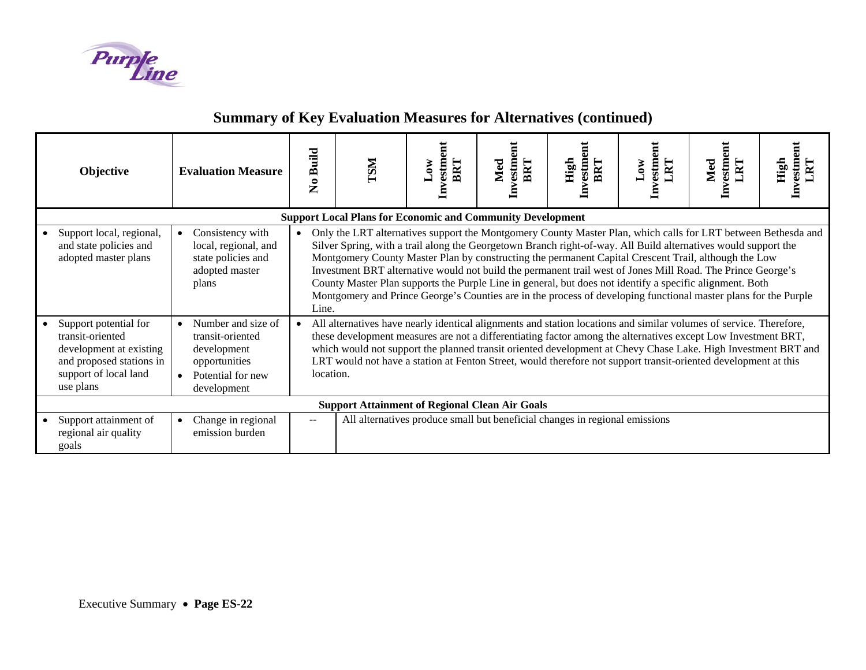

| Objective                                                                                                                                                                                                                          | <b>Evaluation Measure</b>                                                                                  | <b>Build</b><br>$\tilde{\mathbf{z}}$                                                                                                                                                                                                                                                                                                                                                                                                                                                                                                                                          | <b>INST</b> | vestment<br><b>BRT</b><br><b>MO'</b><br>팀 | vestment<br>${\color{blue} \mathbf{Med}}$                                   | High<br>estm<br>BRI | estment<br>RT<br>$\mathbf{W}$ | Investment<br>Med |  |
|------------------------------------------------------------------------------------------------------------------------------------------------------------------------------------------------------------------------------------|------------------------------------------------------------------------------------------------------------|-------------------------------------------------------------------------------------------------------------------------------------------------------------------------------------------------------------------------------------------------------------------------------------------------------------------------------------------------------------------------------------------------------------------------------------------------------------------------------------------------------------------------------------------------------------------------------|-------------|-------------------------------------------|-----------------------------------------------------------------------------|---------------------|-------------------------------|-------------------|--|
| <b>Support Local Plans for Economic and Community Development</b><br>Support local, regional,<br>Consistency with<br>Only the LRT alternatives support the Montgomery County Master Plan, which calls for LRT between Bethesda and |                                                                                                            |                                                                                                                                                                                                                                                                                                                                                                                                                                                                                                                                                                               |             |                                           |                                                                             |                     |                               |                   |  |
| and state policies and<br>adopted master plans                                                                                                                                                                                     | local, regional, and<br>state policies and<br>adopted master<br>plans                                      | Silver Spring, with a trail along the Georgetown Branch right-of-way. All Build alternatives would support the<br>Montgomery County Master Plan by constructing the permanent Capital Crescent Trail, although the Low<br>Investment BRT alternative would not build the permanent trail west of Jones Mill Road. The Prince George's<br>County Master Plan supports the Purple Line in general, but does not identify a specific alignment. Both<br>Montgomery and Prince George's Counties are in the process of developing functional master plans for the Purple<br>Line. |             |                                           |                                                                             |                     |                               |                   |  |
| Support potential for<br>transit-oriented<br>development at existing<br>and proposed stations in<br>support of local land<br>use plans                                                                                             | Number and size of<br>transit-oriented<br>development<br>opportunities<br>Potential for new<br>development | All alternatives have nearly identical alignments and station locations and similar volumes of service. Therefore,<br>these development measures are not a differentiating factor among the alternatives except Low Investment BRT,<br>which would not support the planned transit oriented development at Chevy Chase Lake. High Investment BRT and<br>LRT would not have a station at Fenton Street, would therefore not support transit-oriented development at this<br>location.                                                                                          |             |                                           |                                                                             |                     |                               |                   |  |
|                                                                                                                                                                                                                                    |                                                                                                            |                                                                                                                                                                                                                                                                                                                                                                                                                                                                                                                                                                               |             |                                           | <b>Support Attainment of Regional Clean Air Goals</b>                       |                     |                               |                   |  |
| Support attainment of<br>regional air quality<br>goals                                                                                                                                                                             | Change in regional<br>emission burden                                                                      | $\qquad \qquad -$                                                                                                                                                                                                                                                                                                                                                                                                                                                                                                                                                             |             |                                           | All alternatives produce small but beneficial changes in regional emissions |                     |                               |                   |  |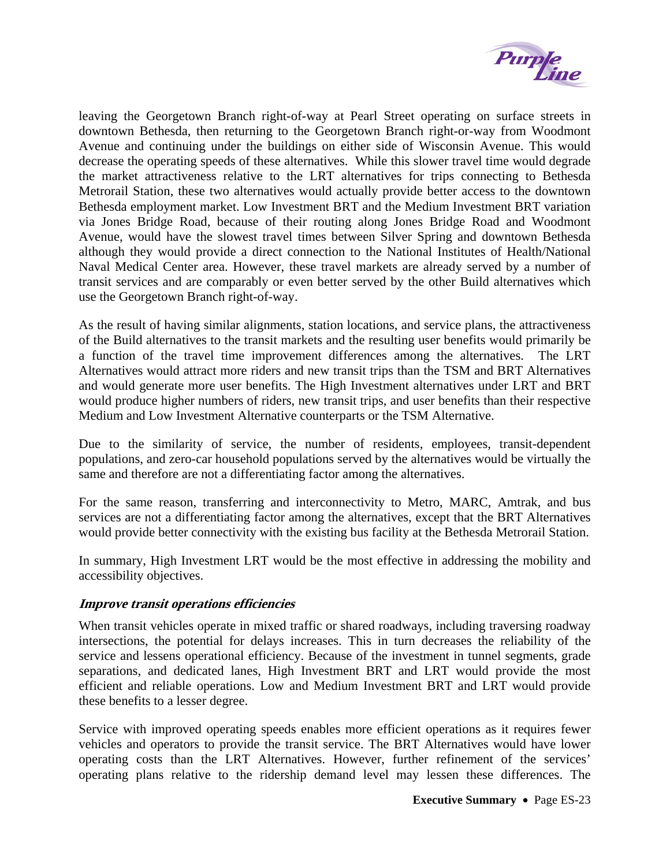

<span id="page-26-0"></span>leaving the Georgetown Branch right-of-way at Pearl Street operating on surface streets in downtown Bethesda, then returning to the Georgetown Branch right-or-way from Woodmont Avenue and continuing under the buildings on either side of Wisconsin Avenue. This would decrease the operating speeds of these alternatives. While this slower travel time would degrade the market attractiveness relative to the LRT alternatives for trips connecting to Bethesda Metrorail Station, these two alternatives would actually provide better access to the downtown Bethesda employment market. Low Investment BRT and the Medium Investment BRT variation via Jones Bridge Road, because of their routing along Jones Bridge Road and Woodmont Avenue, would have the slowest travel times between Silver Spring and downtown Bethesda although they would provide a direct connection to the National Institutes of Health/National Naval Medical Center area. However, these travel markets are already served by a number of transit services and are comparably or even better served by the other Build alternatives which use the Georgetown Branch right-of-way.

As the result of having similar alignments, station locations, and service plans, the attractiveness of the Build alternatives to the transit markets and the resulting user benefits would primarily be a function of the travel time improvement differences among the alternatives. The LRT Alternatives would attract more riders and new transit trips than the TSM and BRT Alternatives and would generate more user benefits. The High Investment alternatives under LRT and BRT would produce higher numbers of riders, new transit trips, and user benefits than their respective Medium and Low Investment Alternative counterparts or the TSM Alternative.

Due to the similarity of service, the number of residents, employees, transit-dependent populations, and zero-car household populations served by the alternatives would be virtually the same and therefore are not a differentiating factor among the alternatives.

For the same reason, transferring and interconnectivity to Metro, MARC, Amtrak, and bus services are not a differentiating factor among the alternatives, except that the BRT Alternatives would provide better connectivity with the existing bus facility at the Bethesda Metrorail Station.

In summary, High Investment LRT would be the most effective in addressing the mobility and accessibility objectives.

## **Improve transit operations efficiencies**

When transit vehicles operate in mixed traffic or shared roadways, including traversing roadway intersections, the potential for delays increases. This in turn decreases the reliability of the service and lessens operational efficiency. Because of the investment in tunnel segments, grade separations, and dedicated lanes, High Investment BRT and LRT would provide the most efficient and reliable operations. Low and Medium Investment BRT and LRT would provide these benefits to a lesser degree.

Service with improved operating speeds enables more efficient operations as it requires fewer vehicles and operators to provide the transit service. The BRT Alternatives would have lower operating costs than the LRT Alternatives. However, further refinement of the services' operating plans relative to the ridership demand level may lessen these differences. The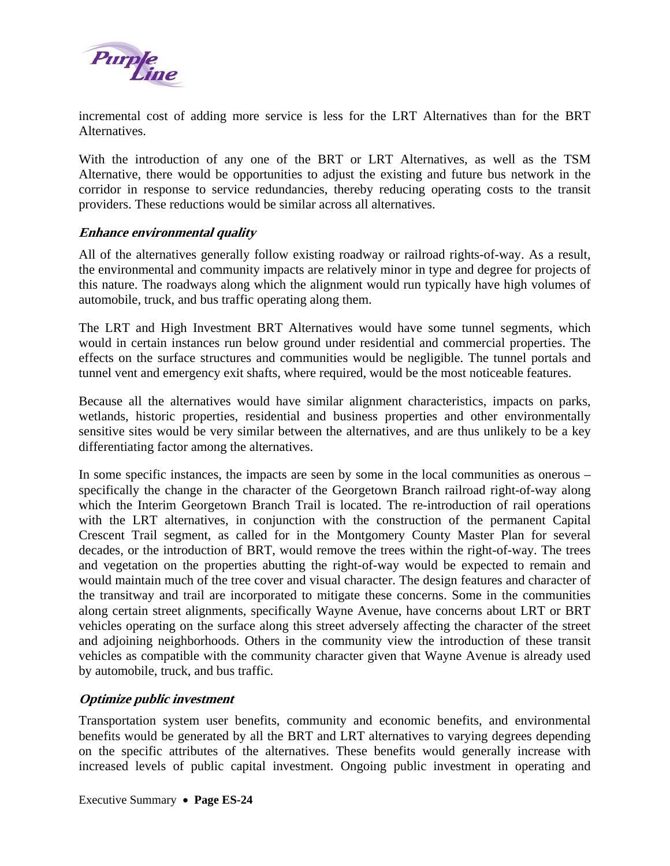<span id="page-27-0"></span>

incremental cost of adding more service is less for the LRT Alternatives than for the BRT Alternatives.

With the introduction of any one of the BRT or LRT Alternatives, as well as the TSM Alternative, there would be opportunities to adjust the existing and future bus network in the corridor in response to service redundancies, thereby reducing operating costs to the transit providers. These reductions would be similar across all alternatives.

#### **Enhance environmental quality**

All of the alternatives generally follow existing roadway or railroad rights-of-way. As a result, the environmental and community impacts are relatively minor in type and degree for projects of this nature. The roadways along which the alignment would run typically have high volumes of automobile, truck, and bus traffic operating along them.

The LRT and High Investment BRT Alternatives would have some tunnel segments, which would in certain instances run below ground under residential and commercial properties. The effects on the surface structures and communities would be negligible. The tunnel portals and tunnel vent and emergency exit shafts, where required, would be the most noticeable features.

Because all the alternatives would have similar alignment characteristics, impacts on parks, wetlands, historic properties, residential and business properties and other environmentally sensitive sites would be very similar between the alternatives, and are thus unlikely to be a key differentiating factor among the alternatives.

In some specific instances, the impacts are seen by some in the local communities as onerous – specifically the change in the character of the Georgetown Branch railroad right-of-way along which the Interim Georgetown Branch Trail is located. The re-introduction of rail operations with the LRT alternatives, in conjunction with the construction of the permanent Capital Crescent Trail segment, as called for in the Montgomery County Master Plan for several decades, or the introduction of BRT, would remove the trees within the right-of-way. The trees and vegetation on the properties abutting the right-of-way would be expected to remain and would maintain much of the tree cover and visual character. The design features and character of the transitway and trail are incorporated to mitigate these concerns. Some in the communities along certain street alignments, specifically Wayne Avenue, have concerns about LRT or BRT vehicles operating on the surface along this street adversely affecting the character of the street and adjoining neighborhoods. Others in the community view the introduction of these transit vehicles as compatible with the community character given that Wayne Avenue is already used by automobile, truck, and bus traffic.

## **Optimize public investment**

Transportation system user benefits, community and economic benefits, and environmental benefits would be generated by all the BRT and LRT alternatives to varying degrees depending on the specific attributes of the alternatives. These benefits would generally increase with increased levels of public capital investment. Ongoing public investment in operating and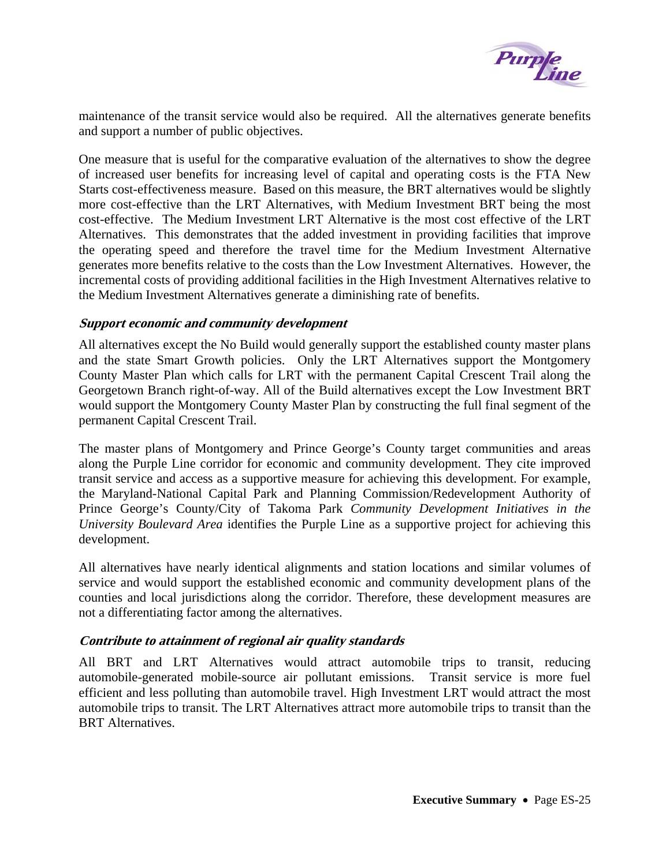

<span id="page-28-0"></span>maintenance of the transit service would also be required. All the alternatives generate benefits and support a number of public objectives.

One measure that is useful for the comparative evaluation of the alternatives to show the degree of increased user benefits for increasing level of capital and operating costs is the FTA New Starts cost-effectiveness measure. Based on this measure, the BRT alternatives would be slightly more cost-effective than the LRT Alternatives, with Medium Investment BRT being the most cost-effective. The Medium Investment LRT Alternative is the most cost effective of the LRT Alternatives. This demonstrates that the added investment in providing facilities that improve the operating speed and therefore the travel time for the Medium Investment Alternative generates more benefits relative to the costs than the Low Investment Alternatives. However, the incremental costs of providing additional facilities in the High Investment Alternatives relative to the Medium Investment Alternatives generate a diminishing rate of benefits.

## **Support economic and community development**

All alternatives except the No Build would generally support the established county master plans and the state Smart Growth policies. Only the LRT Alternatives support the Montgomery County Master Plan which calls for LRT with the permanent Capital Crescent Trail along the Georgetown Branch right-of-way. All of the Build alternatives except the Low Investment BRT would support the Montgomery County Master Plan by constructing the full final segment of the permanent Capital Crescent Trail.

The master plans of Montgomery and Prince George's County target communities and areas along the Purple Line corridor for economic and community development. They cite improved transit service and access as a supportive measure for achieving this development. For example, the Maryland-National Capital Park and Planning Commission/Redevelopment Authority of Prince George's County/City of Takoma Park *Community Development Initiatives in the University Boulevard Area* identifies the Purple Line as a supportive project for achieving this development.

All alternatives have nearly identical alignments and station locations and similar volumes of service and would support the established economic and community development plans of the counties and local jurisdictions along the corridor. Therefore, these development measures are not a differentiating factor among the alternatives.

## **Contribute to attainment of regional air quality standards**

All BRT and LRT Alternatives would attract automobile trips to transit, reducing automobile-generated mobile-source air pollutant emissions. Transit service is more fuel efficient and less polluting than automobile travel. High Investment LRT would attract the most automobile trips to transit. The LRT Alternatives attract more automobile trips to transit than the BRT Alternatives.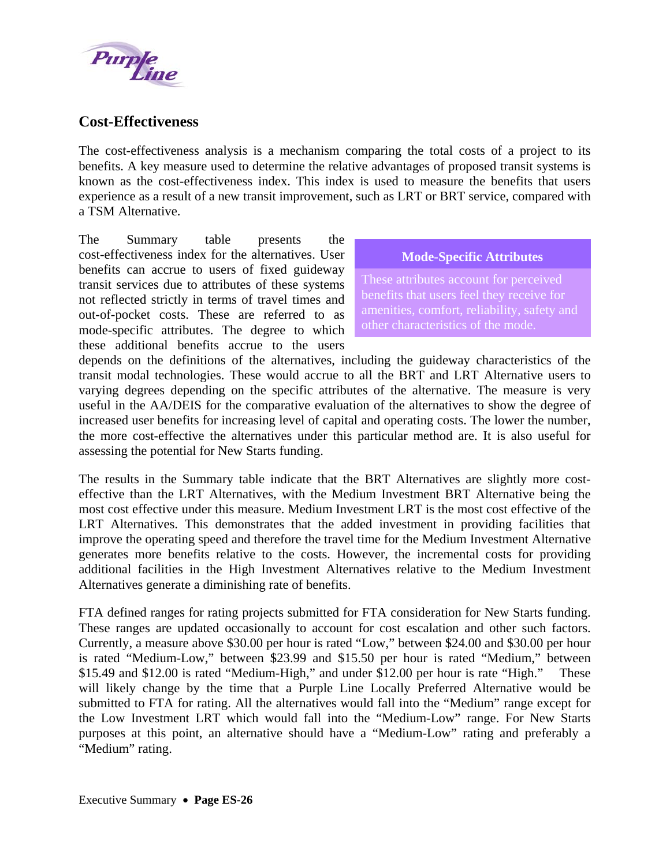<span id="page-29-0"></span>

# **Cost-Effectiveness**

The cost-effectiveness analysis is a mechanism comparing the total costs of a project to its benefits. A key measure used to determine the relative advantages of proposed transit systems is known as the cost-effectiveness index. This index is used to measure the benefits that users experience as a result of a new transit improvement, such as LRT or BRT service, compared with a TSM Alternative.

The Summary table presents the cost-effectiveness index for the alternatives. User benefits can accrue to users of fixed guideway transit services due to attributes of these systems not reflected strictly in terms of travel times and out-of-pocket costs. These are referred to as mode-specific attributes. The degree to which these additional benefits accrue to the users

#### **Mode-Specific Attributes**

These attributes account for perceived benefits that users feel they receive for amenities, comfort, reliability, safety and other characteristics of the mode.

depends on the definitions of the alternatives, including the guideway characteristics of the transit modal technologies. These would accrue to all the BRT and LRT Alternative users to varying degrees depending on the specific attributes of the alternative. The measure is very useful in the AA/DEIS for the comparative evaluation of the alternatives to show the degree of increased user benefits for increasing level of capital and operating costs. The lower the number, the more cost-effective the alternatives under this particular method are. It is also us eful for assessing the potential for New Starts funding.

additional facilities in the High Investment Alternatives relative to the Medium Investment Alternatives generate a diminishing rate of benefits. The results in the Summary table indicate that the BRT Alternatives are slightly more costeffective than the LRT Alternatives, with the Medium Investment BRT Alternative being the most cost effective under this measure. Medium Investment LRT is the most cost effective of the LRT Alternatives. This demonstrates that the added investment in providing facilities that improve the operating speed and therefore the travel time for the Medium Investment Alternative generates more benefits relative to the costs. However, the incremental costs for providing

purposes at this point, an alternative should have a "Medium-Low" rating and preferably a "Medium" rating. FTA defined ranges for rating projects submitted for FTA consideration for New Starts funding. These ranges are updated occasionally to account for cost escalation and other such factors. Currently, a measure above \$30.00 per hour is rated "Low," between \$24.00 and \$30.00 per hour is rated "Medium-Low," between \$23.99 and \$15.50 per hour is rated "Medium," between \$15.49 and \$12.00 is rated "Medium-High," and under \$12.00 per hour is rate "High." These will likely change by the time that a Purple Line Locally Preferred Alternative would be submitted to FTA for rating. All the alternatives would fall into the "Medium" range except for the Low Investment LRT which would fall into the "Medium-Low" range. For New Starts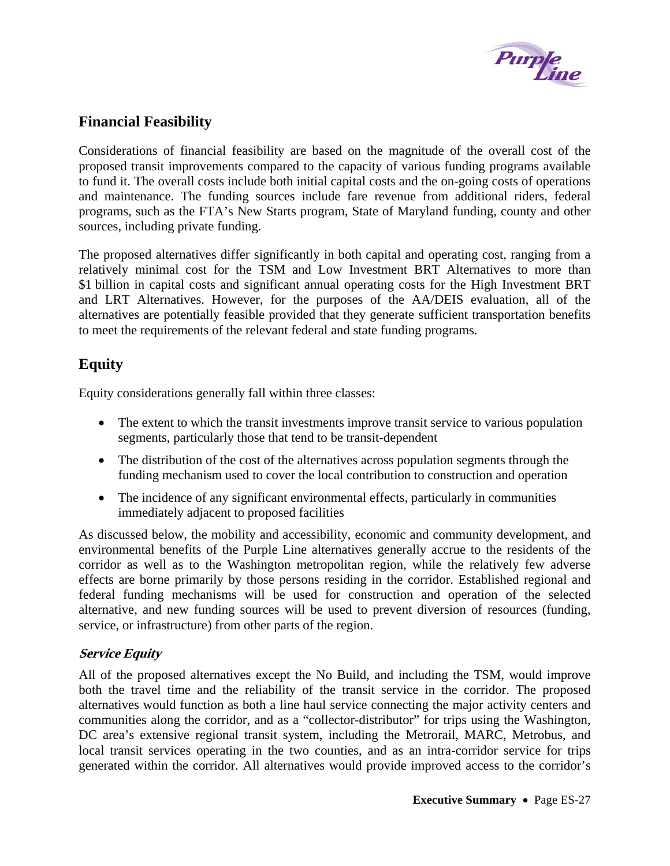

# <span id="page-30-0"></span>**Financial Feasibility**

Considerations of financial feasibility are based on the magnitude of the overall cost of the proposed transit improvements compared to the capacity of various funding programs available to fund it. The overall costs include both initial capital costs and the on-going costs of operations and maintenance. The funding sources include fare revenue from additional riders, federal programs, such as the FTA's New Starts program, State of Maryland funding, county and other sources, including private funding.

The proposed alternatives differ significantly in both capital and operating cost, ranging from a relatively minimal cost for the TSM and Low Investment BRT Alternatives to more than \$1 billion in capital costs and significant annual operating costs for the High Investment BRT and LRT Alternatives. However, for the purposes of the AA/DEIS evaluation, all of the alternatives are potentially feasible provided that they generate sufficient transportation benefits to meet the requirements of the relevant federal and state funding programs.

# **Equity**

Equity considerations generally fall within three classes:

- The extent to which the transit investments improve transit service to various population segments, particularly those that tend to be transit-dependent
- The distribution of the cost of the alternatives across population segments through the funding mechanism used to cover the local contribution to construction and operation
- The incidence of any significant environmental effects, particularly in communities immediately adjacent to proposed facilities

As discussed below, the mobility and accessibility, economic and community development, and environmental benefits of the Purple Line alternatives generally accrue to the residents of the corridor as well as to the Washington metropolitan region, while the relatively few adverse effects are borne primarily by those persons residing in the corridor. Established regional and federal funding mechanisms will be used for construction and operation of the selected alternative, and new funding sources will be used to prevent diversion of resources (funding, service, or infrastructure) from other parts of the region.

# **Service Equity**

All of the proposed alternatives except the No Build, and including the TSM, would improve both the travel time and the reliability of the transit service in the corridor. The proposed alternatives would function as both a line haul service connecting the major activity centers and communities along the corridor, and as a "collector-distributor" for trips using the Washington, DC area's extensive regional transit system, including the Metrorail, MARC, Metrobus, and local transit services operating in the two counties, and as an intra-corridor service for trips generated within the corridor. All alternatives would provide improved access to the corridor's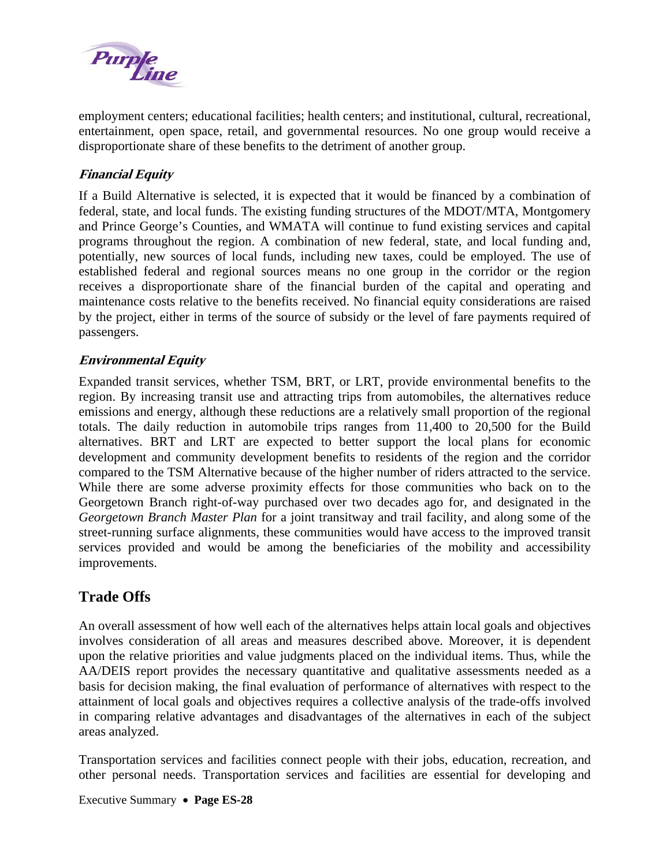<span id="page-31-0"></span>

employment centers; educational facilities; health centers; and institutional, cultural, recreational, entertainment, open space, retail, and governmental resources. No one group would receive a disproportionate share of these benefits to the detriment of another group.

# **Financial Equity**

If a Build Alternative is selected, it is expected that it would be financed by a combination of federal, state, and local funds. The existing funding structures of the MDOT/MTA, Montgomery and Prince George's Counties, and WMATA will continue to fund existing services and capital programs throughout the region. A combination of new federal, state, and local funding and, potentially, new sources of local funds, including new taxes, could be employed. The use of established federal and regional sources means no one group in the corridor or the region receives a disproportionate share of the financial burden of the capital and operating and maintenance costs relative to the benefits received. No financial equity considerations are raised by the project, either in terms of the source of subsidy or the level of fare payments required of passengers.

## **Environmental Equity**

Expanded transit services, whether TSM, BRT, or LRT, provide environmental benefits to the region. By increasing transit use and attracting trips from automobiles, the alternatives reduce emissions and energy, although these reductions are a relatively small proportion of the regional totals. The daily reduction in automobile trips ranges from 11,400 to 20,500 for the Build alternatives. BRT and LRT are expected to better support the local plans for economic development and community development benefits to residents of the region and the corridor compared to the TSM Alternative because of the higher number of riders attracted to the service. While there are some adverse proximity effects for those communities who back on to the Georgetown Branch right-of-way purchased over two decades ago for, and designated in the *Georgetown Branch Master Plan* for a joint transitway and trail facility, and along some of the street-running surface alignments, these communities would have access to the improved transit services provided and would be among the beneficiaries of the mobility and accessibility improvements.

# **Trade Offs**

An overall assessment of how well each of the alternatives helps attain local goals and objectives involves consideration of all areas and measures described above. Moreover, it is dependent upon the relative priorities and value judgments placed on the individual items. Thus, while the AA/DEIS report provides the necessary quantitative and qualitative assessments needed as a basis for decision making, the final evaluation of performance of alternatives with respect to the attainment of local goals and objectives requires a collective analysis of the trade-offs involved in comparing relative advantages and disadvantages of the alternatives in each of the subject areas analyzed.

Transportation services and facilities connect people with their jobs, education, recreation, and other personal needs. Transportation services and facilities are essential for developing and

Executive Summary • **Page ES-28**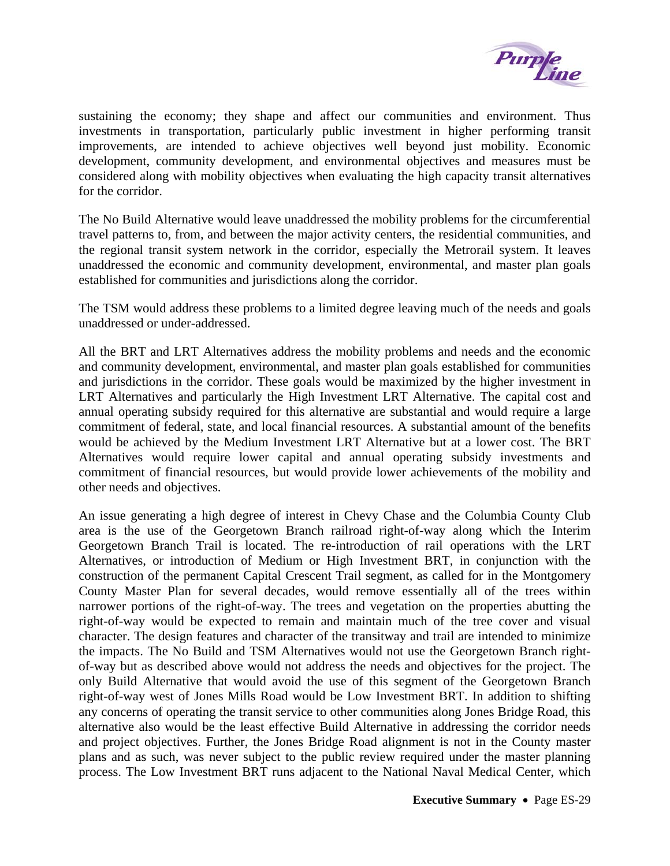

sustaining the economy; they shape and affect our communities and environment. Thus investments in transportation, particularly public investment in higher performing transit improvements, are intended to achieve objectives well beyond just mobility. Economic development, community development, and environmental objectives and measures must be considered along with mobility objectives when evaluating the high capacity transit alternatives for the corridor.

The No Build Alternative would leave unaddressed the mobility problems for the circumferential travel patterns to, from, and between the major activity centers, the residential communities, and the regional transit system network in the corridor, especially the Metrorail system. It leaves unaddressed the economic and community development, environmental, and master plan goals established for communities and jurisdictions along the corridor.

The TSM would address these problems to a limited degree leaving much of the needs and goals unaddressed or under-addressed.

All the BRT and LRT Alternatives address the mobility problems and needs and the economic and community development, environmental, and master plan goals established for communities and jurisdictions in the corridor. These goals would be maximized by the higher investment in LRT Alternatives and particularly the High Investment LRT Alternative. The capital cost and annual operating subsidy required for this alternative are substantial and would require a large commitment of federal, state, and local financial resources. A substantial amount of the benefits would be achieved by the Medium Investment LRT Alternative but at a lower cost. The BRT Alternatives would require lower capital and annual operating subsidy investments and commitment of financial resources, but would provide lower achievements of the mobility and other needs and objectives.

An issue generating a high degree of interest in Chevy Chase and the Columbia County Club area is the use of the Georgetown Branch railroad right-of-way along which the Interim Georgetown Branch Trail is located. The re-introduction of rail operations with the LRT Alternatives, or introduction of Medium or High Investment BRT, in conjunction with the construction of the permanent Capital Crescent Trail segment, as called for in the Montgomery County Master Plan for several decades, would remove essentially all of the trees within narrower portions of the right-of-way. The trees and vegetation on the properties abutting the right-of-way would be expected to remain and maintain much of the tree cover and visual character. The design features and character of the transitway and trail are intended to minimize the impacts. The No Build and TSM Alternatives would not use the Georgetown Branch rightof-way but as described above would not address the needs and objectives for the project. The only Build Alternative that would avoid the use of this segment of the Georgetown Branch right-of-way west of Jones Mills Road would be Low Investment BRT. In addition to shifting any concerns of operating the transit service to other communities along Jones Bridge Road, this alternative also would be the least effective Build Alternative in addressing the corridor needs and project objectives. Further, the Jones Bridge Road alignment is not in the County master plans and as such, was never subject to the public review required under the master planning process. The Low Investment BRT runs adjacent to the National Naval Medical Center, which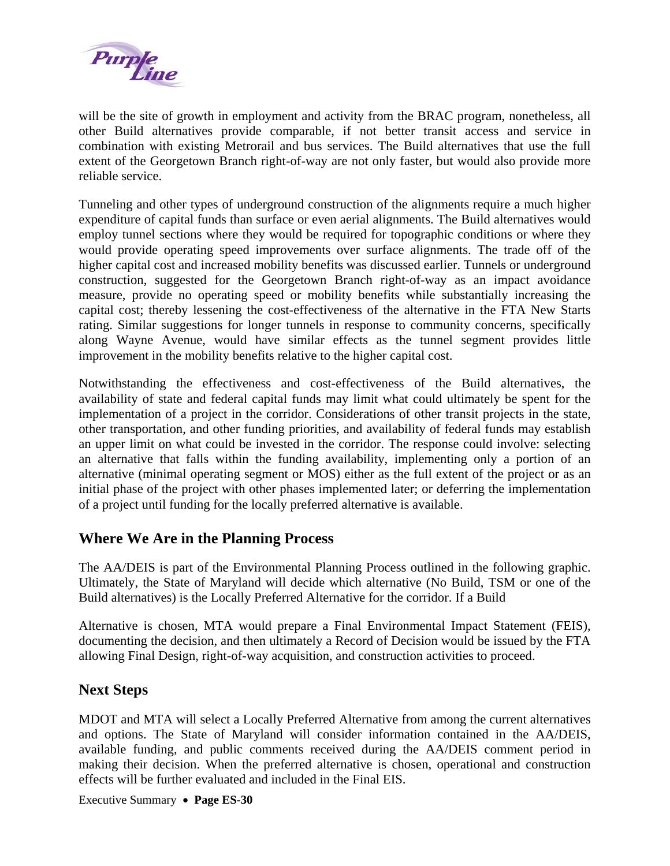<span id="page-33-0"></span>

will be the site of growth in employment and activity from the BRAC program, nonetheless, all other Build alternatives provide comparable, if not better transit access and service in combination with existing Metrorail and bus services. The Build alternatives that use the full extent of the Georgetown Branch right-of-way are not only faster, but would also provide more reliable service.

Tunneling and other types of underground construction of the alignments require a much higher expenditure of capital funds than surface or even aerial alignments. The Build alternatives would employ tunnel sections where they would be required for topographic conditions or where they would provide operating speed improvements over surface alignments. The trade off of the higher capital cost and increased mobility benefits was discussed earlier. Tunnels or underground construction, suggested for the Georgetown Branch right-of-way as an impact avoidance measure, provide no operating speed or mobility benefits while substantially increasing the capital cost; thereby lessening the cost-effectiveness of the alternative in the FTA New Starts rating. Similar suggestions for longer tunnels in response to community concerns, specifically along Wayne Avenue, would have similar effects as the tunnel segment provides little improvement in the mobility benefits relative to the higher capital cost.

Notwithstanding the effectiveness and cost-effectiveness of the Build alternatives, the availability of state and federal capital funds may limit what could ultimately be spent for the implementation of a project in the corridor. Considerations of other transit projects in the state, other transportation, and other funding priorities, and availability of federal funds may establish an upper limit on what could be invested in the corridor. The response could involve: selecting an alternative that falls within the funding availability, implementing only a portion of an alternative (minimal operating segment or MOS) either as the full extent of the project or as an initial phase of the project with other phases implemented later; or deferring the implementation of a project until funding for the locally preferred alternative is available.

# **Where We Are in the Planning Process**

The AA/DEIS is part of the Environmental Planning Process outlined in the following graphic. Ultimately, the State of Maryland will decide which alternative (No Build, TSM or one of the Build alternatives) is the Locally Preferred Alternative for the corridor. If a Build

Alternative is chosen, MTA would prepare a Final Environmental Impact Statement (FEIS), documenting the decision, and then ultimately a Record of Decision would be issued by the FTA allowing Final Design, right-of-way acquisition, and construction activities to proceed.

# **Next Steps**

MDOT and MTA will select a Locally Preferred Alternative from among the current alternatives and options. The State of Maryland will consider information contained in the AA/DEIS, available funding, and public comments received during the AA/DEIS comment period in making their decision. When the preferred alternative is chosen, operational and construction effects will be further evaluated and included in the Final EIS.

Executive Summary • **Page ES-30**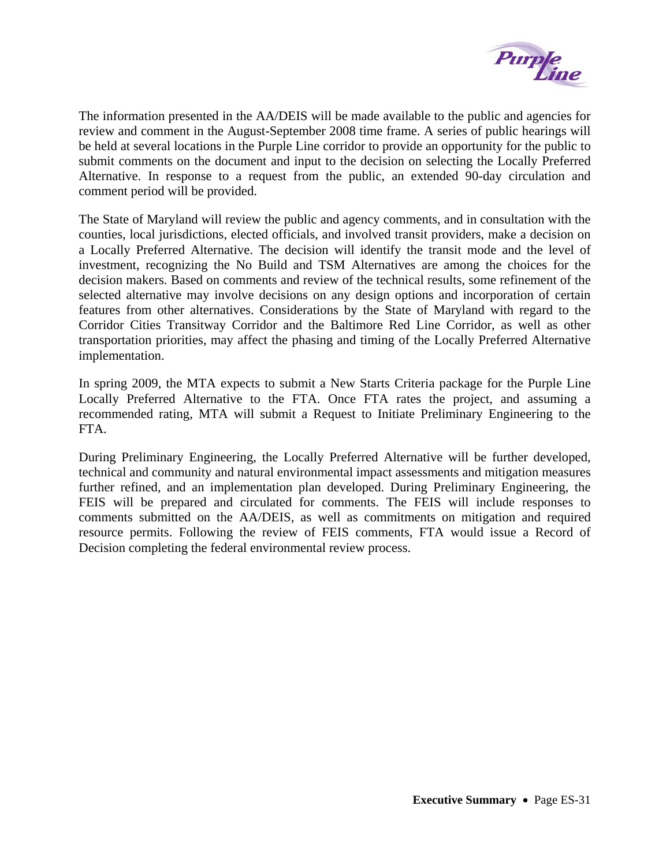

The information presented in the AA/DEIS will be made available to the public and agencies for review and comment in the August-September 2008 time frame. A series of public hearings will be held at several locations in the Purple Line corridor to provide an opportunity for the public to submit comments on the document and input to the decision on selecting the Locally Preferred Alternative. In response to a request from the public, an extended 90-day circulation and comment period will be provided.

The State of Maryland will review the public and agency comments, and in consultation with the counties, local jurisdictions, elected officials, and involved transit providers, make a decision on a Locally Preferred Alternative. The decision will identify the transit mode and the level of investment, recognizing the No Build and TSM Alternatives are among the choices for the decision makers. Based on comments and review of the technical results, some refinement of the selected alternative may involve decisions on any design options and incorporation of certain features from other alternatives. Considerations by the State of Maryland with regard to the Corridor Cities Transitway Corridor and the Baltimore Red Line Corridor, as well as other transportation priorities, may affect the phasing and timing of the Locally Preferred Alternative implementation.

In spring 2009, the MTA expects to submit a New Starts Criteria package for the Purple Line Locally Preferred Alternative to the FTA. Once FTA rates the project, and assuming a recommended rating, MTA will submit a Request to Initiate Preliminary Engineering to the FTA.

During Preliminary Engineering, the Locally Preferred Alternative will be further developed, technical and community and natural environmental impact assessments and mitigation measures further refined, and an implementation plan developed. During Preliminary Engineering, the FEIS will be prepared and circulated for comments. The FEIS will include responses to comments submitted on the AA/DEIS, as well as commitments on mitigation and required resource permits. Following the review of FEIS comments, FTA would issue a Record of Decision completing the federal environmental review process.